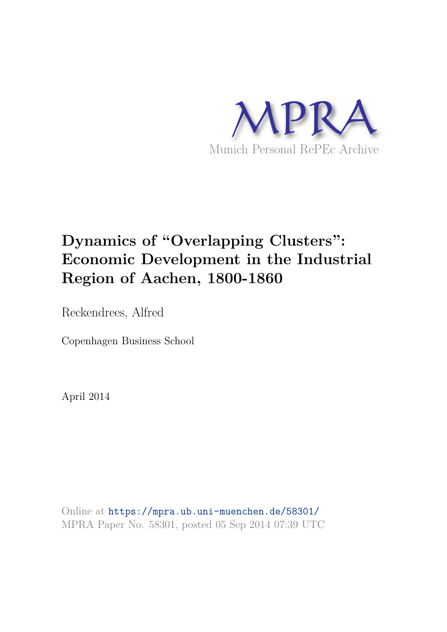

# **Dynamics of "Overlapping Clusters": Economic Development in the Industrial Region of Aachen, 1800-1860**

Reckendrees, Alfred

Copenhagen Business School

April 2014

Online at https://mpra.ub.uni-muenchen.de/58301/ MPRA Paper No. 58301, posted 05 Sep 2014 07:39 UTC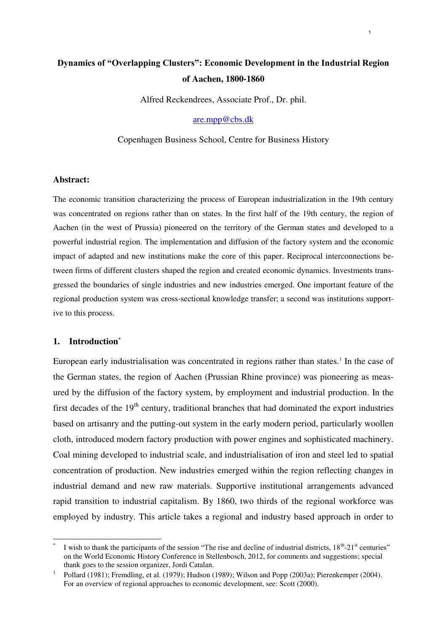## **Dynamics of "Overlapping Clusters": Economic Development in the Industrial Region of Aachen, 1800‐1860**

1

Alfred Reckendrees, Associate Prof., Dr. phil.

[are.mpp@cbs.dk](mailto:are.mpp@cbs.dk)

Copenhagen Business School, Centre for Business History

#### **Abstract:**

The economic transition characterizing the process of European industrialization in the 19th century was concentrated on regions rather than on states. In the first half of the 19th century, the region of Aachen (in the west of Prussia) pioneered on the territory of the German states and developed to a powerful industrial region. The implementation and diffusion of the factory system and the economic impact of adapted and new institutions make the core of this paper. Reciprocal interconnections between firms of different clusters shaped the region and created economic dynamics. Investments transgressed the boundaries of single industries and new industries emerged. One important feature of the regional production system was cross-sectional knowledge transfer; a second was institutions supportive to this process.

#### **1. Introduction\***

 $\overline{a}$ 

European early industrialisation was concentrated in regions rather than states.<sup>1</sup> In the case of the German states, the region of Aachen (Prussian Rhine province) was pioneering as measured by the diffusion of the factory system, by employment and industrial production. In the first decades of the  $19<sup>th</sup>$  century, traditional branches that had dominated the export industries based on artisanry and the putting-out system in the early modern period, particularly woollen cloth, introduced modern factory production with power engines and sophisticated machinery. Coal mining developed to industrial scale, and industrialisation of iron and steel led to spatial concentration of production. New industries emerged within the region reflecting changes in industrial demand and new raw materials. Supportive institutional arrangements advanced rapid transition to industrial capitalism. By 1860, two thirds of the regional workforce was employed by industry. This article takes a regional and industry based approach in order to

<sup>\*</sup> I wish to thank the participants of the session "The rise and decline of industrial districts,  $18<sup>th</sup> - 21<sup>st</sup>$  centuries" on the World Economic History Conference in Stellenbosch, 2012, for comments and suggestions; special thank goes to the session organizer, Jordi Catalan.

<sup>1</sup> Pollard (1981); Fremdling, et al. (1979); Hudson (1989); Wilson and Popp (2003a); Pierenkemper (2004). For an overview of regional approaches to economic development, see: Scott (2000).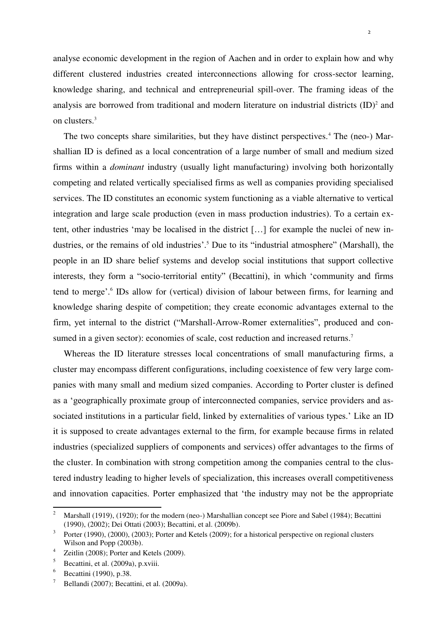analyse economic development in the region of Aachen and in order to explain how and why different clustered industries created interconnections allowing for cross-sector learning, knowledge sharing, and technical and entrepreneurial spill-over. The framing ideas of the analysis are borrowed from traditional and modern literature on industrial districts  $(ID)^2$  and on clusters.<sup>3</sup>

The two concepts share similarities, but they have distinct perspectives.<sup>4</sup> The (neo-) Marshallian ID is defined as a local concentration of a large number of small and medium sized firms within a *dominant* industry (usually light manufacturing) involving both horizontally competing and related vertically specialised firms as well as companies providing specialised services. The ID constitutes an economic system functioning as a viable alternative to vertical integration and large scale production (even in mass production industries). To a certain extent, other industries 'may be localised in the district […] for example the nuclei of new industries, or the remains of old industries'.<sup>5</sup> Due to its "industrial atmosphere" (Marshall), the people in an ID share belief systems and develop social institutions that support collective interests, they form a "socio-territorial entity" (Becattini), in which 'community and firms tend to merge'.<sup>6</sup> IDs allow for (vertical) division of labour between firms, for learning and knowledge sharing despite of competition; they create economic advantages external to the firm, yet internal to the district ("Marshall-Arrow-Romer externalities", produced and consumed in a given sector): economies of scale, cost reduction and increased returns.<sup>7</sup>

Whereas the ID literature stresses local concentrations of small manufacturing firms, a cluster may encompass different configurations, including coexistence of few very large companies with many small and medium sized companies. According to Porter cluster is defined as a 'geographically proximate group of interconnected companies, service providers and associated institutions in a particular field, linked by externalities of various types.' Like an ID it is supposed to create advantages external to the firm, for example because firms in related industries (specialized suppliers of components and services) offer advantages to the firms of the cluster. In combination with strong competition among the companies central to the clustered industry leading to higher levels of specialization, this increases overall competitiveness and innovation capacities. Porter emphasized that 'the industry may not be the appropriate

<sup>2</sup> Marshall (1919), (1920); for the modern (neo-) Marshallian concept see Piore and Sabel (1984); Becattini (1990), (2002); Dei Ottati (2003); Becattini, et al. (2009b).

<sup>3</sup> Porter (1990), (2000), (2003); Porter and Ketels (2009); for a historical perspective on regional clusters Wilson and Popp (2003b).

<sup>4</sup> Zeitlin (2008); Porter and Ketels (2009).

<sup>5</sup> Becattini, et al. (2009a), p.xviii.

<sup>6</sup> Becattini (1990), p.38.

<sup>7</sup> Bellandi (2007); Becattini, et al. (2009a).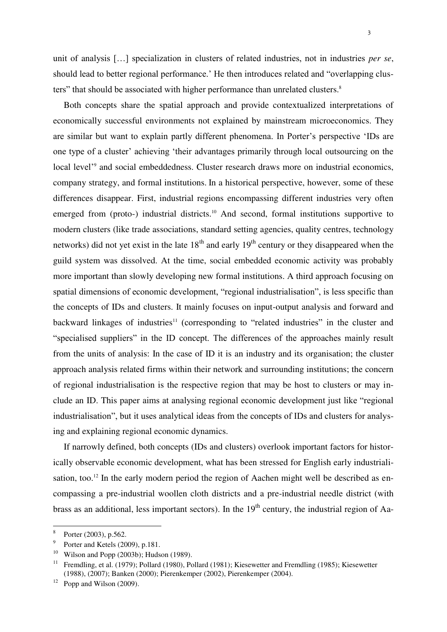unit of analysis […] specialization in clusters of related industries, not in industries *per se*, should lead to better regional performance.' He then introduces related and "overlapping clusters" that should be associated with higher performance than unrelated clusters.<sup>8</sup>

Both concepts share the spatial approach and provide contextualized interpretations of economically successful environments not explained by mainstream microeconomics. They are similar but want to explain partly different phenomena. In Porter's perspective 'IDs are one type of a cluster' achieving 'their advantages primarily through local outsourcing on the local level<sup>'9</sup> and social embeddedness. Cluster research draws more on industrial economics, company strategy, and formal institutions. In a historical perspective, however, some of these differences disappear. First, industrial regions encompassing different industries very often emerged from (proto-) industrial districts.<sup>10</sup> And second, formal institutions supportive to modern clusters (like trade associations, standard setting agencies, quality centres, technology networks) did not yet exist in the late  $18<sup>th</sup>$  and early  $19<sup>th</sup>$  century or they disappeared when the guild system was dissolved. At the time, social embedded economic activity was probably more important than slowly developing new formal institutions. A third approach focusing on spatial dimensions of economic development, "regional industrialisation", is less specific than the concepts of IDs and clusters. It mainly focuses on input-output analysis and forward and backward linkages of industries<sup>11</sup> (corresponding to "related industries" in the cluster and "specialised suppliers" in the ID concept. The differences of the approaches mainly result from the units of analysis: In the case of ID it is an industry and its organisation; the cluster approach analysis related firms within their network and surrounding institutions; the concern of regional industrialisation is the respective region that may be host to clusters or may include an ID. This paper aims at analysing regional economic development just like "regional industrialisation", but it uses analytical ideas from the concepts of IDs and clusters for analysing and explaining regional economic dynamics.

If narrowly defined, both concepts (IDs and clusters) overlook important factors for historically observable economic development, what has been stressed for English early industrialisation, too.<sup>12</sup> In the early modern period the region of Aachen might well be described as encompassing a pre-industrial woollen cloth districts and a pre-industrial needle district (with brass as an additional, less important sectors). In the 19<sup>th</sup> century, the industrial region of Aa-

<sup>8</sup> Porter (2003), p.562.

<sup>9</sup> Porter and Ketels (2009), p.181.

<sup>&</sup>lt;sup>10</sup> Wilson and Popp (2003b); Hudson (1989).

<sup>11</sup> Fremdling, et al. (1979); Pollard (1980), Pollard (1981); Kiesewetter and Fremdling (1985); Kiesewetter (1988), (2007); Banken (2000); Pierenkemper (2002), Pierenkemper (2004).

 $12$  Popp and Wilson (2009).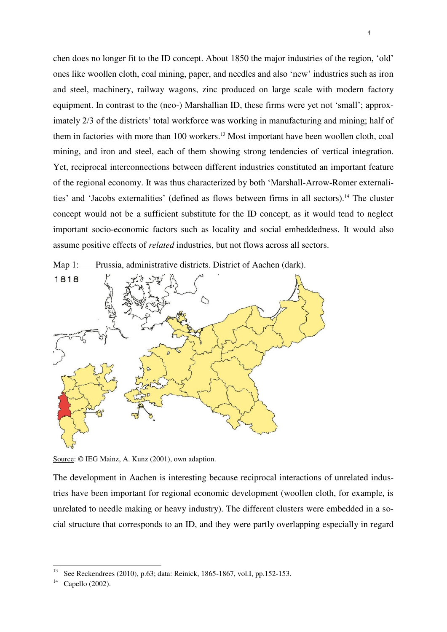chen does no longer fit to the ID concept. About 1850 the major industries of the region, 'old' ones like woollen cloth, coal mining, paper, and needles and also 'new' industries such as iron and steel, machinery, railway wagons, zinc produced on large scale with modern factory equipment. In contrast to the (neo-) Marshallian ID, these firms were yet not 'small'; approximately 2/3 of the districts' total workforce was working in manufacturing and mining; half of them in factories with more than 100 workers.<sup>13</sup> Most important have been woollen cloth, coal mining, and iron and steel, each of them showing strong tendencies of vertical integration. Yet, reciprocal interconnections between different industries constituted an important feature of the regional economy. It was thus characterized by both 'Marshall-Arrow-Romer externalities' and 'Jacobs externalities' (defined as flows between firms in all sectors).<sup>14</sup> The cluster concept would not be a sufficient substitute for the ID concept, as it would tend to neglect important socio-economic factors such as locality and social embeddedness. It would also assume positive effects of *related* industries, but not flows across all sectors.

Map 1: Prussia, administrative districts. District of Aachen (dark).



Source: © IEG Mainz, A. Kunz (2001), own adaption.

The development in Aachen is interesting because reciprocal interactions of unrelated industries have been important for regional economic development (woollen cloth, for example, is unrelated to needle making or heavy industry). The different clusters were embedded in a social structure that corresponds to an ID, and they were partly overlapping especially in regard

<sup>&</sup>lt;sup>13</sup> See Reckendrees (2010), p.63; data: Reinick, 1865-1867, vol.I, pp.152-153.<br><sup>14</sup> Canalla (2002).

Capello (2002).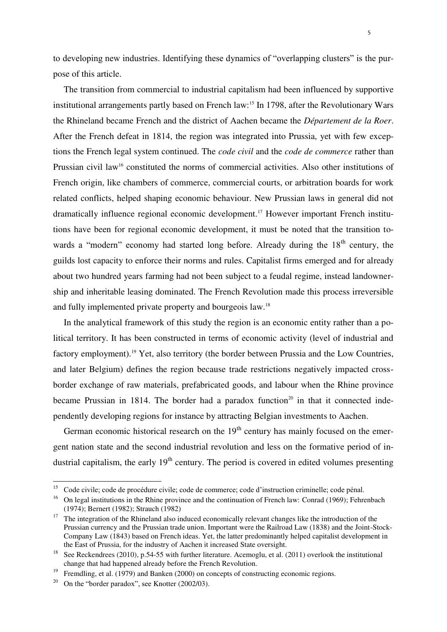to developing new industries. Identifying these dynamics of "overlapping clusters" is the purpose of this article.

The transition from commercial to industrial capitalism had been influenced by supportive institutional arrangements partly based on French law:<sup>15</sup> In 1798, after the Revolutionary Wars the Rhineland became French and the district of Aachen became the *Département de la Roer*. After the French defeat in 1814, the region was integrated into Prussia, yet with few exceptions the French legal system continued. The *code civil* and the *code de commerce* rather than Prussian civil law<sup>16</sup> constituted the norms of commercial activities. Also other institutions of French origin, like chambers of commerce, commercial courts, or arbitration boards for work related conflicts, helped shaping economic behaviour. New Prussian laws in general did not dramatically influence regional economic development.17 However important French institutions have been for regional economic development, it must be noted that the transition towards a "modern" economy had started long before. Already during the  $18<sup>th</sup>$  century, the guilds lost capacity to enforce their norms and rules. Capitalist firms emerged and for already about two hundred years farming had not been subject to a feudal regime, instead landownership and inheritable leasing dominated. The French Revolution made this process irreversible and fully implemented private property and bourgeois law.<sup>18</sup>

In the analytical framework of this study the region is an economic entity rather than a political territory. It has been constructed in terms of economic activity (level of industrial and factory employment).<sup>19</sup> Yet, also territory (the border between Prussia and the Low Countries, and later Belgium) defines the region because trade restrictions negatively impacted crossborder exchange of raw materials, prefabricated goods, and labour when the Rhine province became Prussian in 1814. The border had a paradox function<sup>20</sup> in that it connected independently developing regions for instance by attracting Belgian investments to Aachen.

German economic historical research on the  $19<sup>th</sup>$  century has mainly focused on the emergent nation state and the second industrial revolution and less on the formative period of industrial capitalism, the early  $19<sup>th</sup>$  century. The period is covered in edited volumes presenting

<sup>15</sup> Code civile; code de procédure civile; code de commerce; code d'instruction criminelle; code pénal.

<sup>&</sup>lt;sup>16</sup> On legal institutions in the Rhine province and the continuation of French law: Conrad (1969): Fehrenbach (1974); Bernert (1982); Strauch (1982)

<sup>&</sup>lt;sup>17</sup> The integration of the Rhineland also induced economically relevant changes like the introduction of the Prussian currency and the Prussian trade union. Important were the Railroad Law (1838) and the Joint-Stock-Company Law (1843) based on French ideas. Yet, the latter predominantly helped capitalist development in the East of Prussia, for the industry of Aachen it increased State oversight.

<sup>&</sup>lt;sup>18</sup> See Reckendrees (2010), p.54-55 with further literature. Acemoglu, et al. (2011) overlook the institutional change that had happened already before the French Revolution.

Fremdling, et al. (1979) and Banken (2000) on concepts of constructing economic regions.

<sup>20</sup> On the "border paradox", see Knotter (2002/03).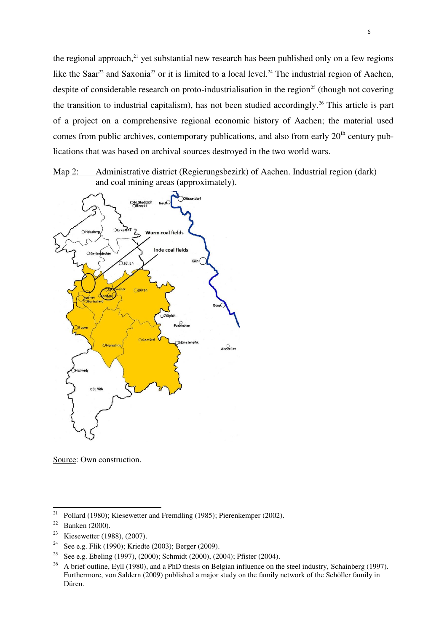the regional approach, $21$  yet substantial new research has been published only on a few regions like the Saar<sup>22</sup> and Saxonia<sup>23</sup> or it is limited to a local level.<sup>24</sup> The industrial region of Aachen, despite of considerable research on proto-industrialisation in the region<sup>25</sup> (though not covering the transition to industrial capitalism), has not been studied accordingly.<sup>26</sup> This article is part of a project on a comprehensive regional economic history of Aachen; the material used comes from public archives, contemporary publications, and also from early  $20<sup>th</sup>$  century publications that was based on archival sources destroyed in the two world wars.

### Map 2: Administrative district (Regierungsbezirk) of Aachen. Industrial region (dark) and coal mining areas (approximately).



Source: Own construction.

<sup>&</sup>lt;sup>21</sup> Pollard (1980); Kiesewetter and Fremdling (1985); Pierenkemper (2002).

<sup>&</sup>lt;sup>22</sup> Banken (2000).

<sup>23</sup> Kiesewetter (1988), (2007).

<sup>&</sup>lt;sup>24</sup> See e.g. Flik (1990); Kriedte (2003); Berger (2009).

<sup>&</sup>lt;sup>25</sup> See e.g. Ebeling (1997), (2000); Schmidt (2000), (2004); Pfister (2004).

<sup>&</sup>lt;sup>26</sup> A brief outline, Eyll (1980), and a PhD thesis on Belgian influence on the steel industry, Schainberg (1997). Furthermore, von Saldern (2009) published a major study on the family network of the Schöller family in Düren.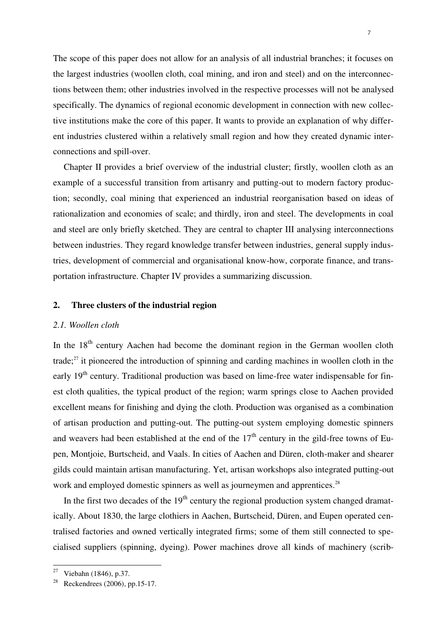The scope of this paper does not allow for an analysis of all industrial branches; it focuses on the largest industries (woollen cloth, coal mining, and iron and steel) and on the interconnections between them; other industries involved in the respective processes will not be analysed specifically. The dynamics of regional economic development in connection with new collective institutions make the core of this paper. It wants to provide an explanation of why different industries clustered within a relatively small region and how they created dynamic interconnections and spill-over.

Chapter II provides a brief overview of the industrial cluster; firstly, woollen cloth as an example of a successful transition from artisanry and putting-out to modern factory production; secondly, coal mining that experienced an industrial reorganisation based on ideas of rationalization and economies of scale; and thirdly, iron and steel. The developments in coal and steel are only briefly sketched. They are central to chapter III analysing interconnections between industries. They regard knowledge transfer between industries, general supply industries, development of commercial and organisational know-how, corporate finance, and transportation infrastructure. Chapter IV provides a summarizing discussion.

#### **2. Three clusters of the industrial region**

#### *2.1. Woollen cloth*

In the  $18<sup>th</sup>$  century Aachen had become the dominant region in the German woollen cloth trade;<sup>27</sup> it pioneered the introduction of spinning and carding machines in woollen cloth in the early  $19<sup>th</sup>$  century. Traditional production was based on lime-free water indispensable for finest cloth qualities, the typical product of the region; warm springs close to Aachen provided excellent means for finishing and dying the cloth. Production was organised as a combination of artisan production and putting-out. The putting-out system employing domestic spinners and weavers had been established at the end of the  $17<sup>th</sup>$  century in the gild-free towns of Eupen, Montjoie, Burtscheid, and Vaals. In cities of Aachen and Düren, cloth-maker and shearer gilds could maintain artisan manufacturing. Yet, artisan workshops also integrated putting-out work and employed domestic spinners as well as journeymen and apprentices.<sup>28</sup>

In the first two decades of the  $19<sup>th</sup>$  century the regional production system changed dramatically. About 1830, the large clothiers in Aachen, Burtscheid, Düren, and Eupen operated centralised factories and owned vertically integrated firms; some of them still connected to specialised suppliers (spinning, dyeing). Power machines drove all kinds of machinery (scrib-

<sup>27</sup> Viebahn (1846), p.37.

Reckendrees (2006), pp.15-17.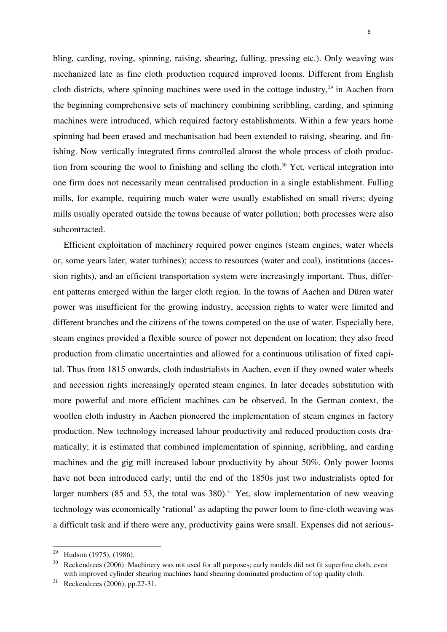bling, carding, roving, spinning, raising, shearing, fulling, pressing etc.). Only weaving was mechanized late as fine cloth production required improved looms. Different from English cloth districts, where spinning machines were used in the cottage industry, $29$  in Aachen from the beginning comprehensive sets of machinery combining scribbling, carding, and spinning machines were introduced, which required factory establishments. Within a few years home spinning had been erased and mechanisation had been extended to raising, shearing, and finishing. Now vertically integrated firms controlled almost the whole process of cloth production from scouring the wool to finishing and selling the cloth.<sup>30</sup> Yet, vertical integration into one firm does not necessarily mean centralised production in a single establishment. Fulling mills, for example, requiring much water were usually established on small rivers; dyeing mills usually operated outside the towns because of water pollution; both processes were also subcontracted.

Efficient exploitation of machinery required power engines (steam engines, water wheels or, some years later, water turbines); access to resources (water and coal), institutions (accession rights), and an efficient transportation system were increasingly important. Thus, different patterns emerged within the larger cloth region. In the towns of Aachen and Düren water power was insufficient for the growing industry, accession rights to water were limited and different branches and the citizens of the towns competed on the use of water. Especially here, steam engines provided a flexible source of power not dependent on location; they also freed production from climatic uncertainties and allowed for a continuous utilisation of fixed capital. Thus from 1815 onwards, cloth industrialists in Aachen, even if they owned water wheels and accession rights increasingly operated steam engines. In later decades substitution with more powerful and more efficient machines can be observed. In the German context, the woollen cloth industry in Aachen pioneered the implementation of steam engines in factory production. New technology increased labour productivity and reduced production costs dramatically; it is estimated that combined implementation of spinning, scribbling, and carding machines and the gig mill increased labour productivity by about 50%. Only power looms have not been introduced early; until the end of the 1850s just two industrialists opted for larger numbers (85 and 53, the total was  $380$ ).<sup>31</sup> Yet, slow implementation of new weaving technology was economically 'rational' as adapting the power loom to fine-cloth weaving was a difficult task and if there were any, productivity gains were small. Expenses did not serious-

<sup>&</sup>lt;sup>29</sup> Hudson (1975), (1986).

<sup>&</sup>lt;sup>30</sup> Reckendrees (2006). Machinery was not used for all purposes; early models did not fit superfine cloth, even with improved cylinder shearing machines hand shearing dominated production of top quality cloth.

<sup>31</sup> Reckendrees (2006), pp.27-31.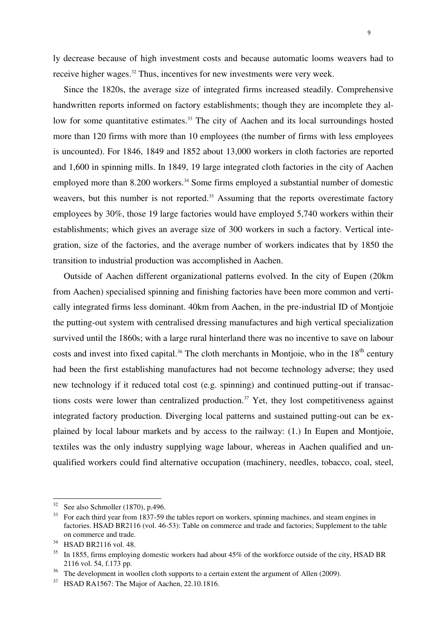ly decrease because of high investment costs and because automatic looms weavers had to receive higher wages.<sup>32</sup> Thus, incentives for new investments were very week.

Since the 1820s, the average size of integrated firms increased steadily. Comprehensive handwritten reports informed on factory establishments; though they are incomplete they allow for some quantitative estimates.<sup>33</sup> The city of Aachen and its local surroundings hosted more than 120 firms with more than 10 employees (the number of firms with less employees is uncounted). For 1846, 1849 and 1852 about 13,000 workers in cloth factories are reported and 1,600 in spinning mills. In 1849, 19 large integrated cloth factories in the city of Aachen employed more than 8.200 workers.<sup>34</sup> Some firms employed a substantial number of domestic weavers, but this number is not reported.<sup>35</sup> Assuming that the reports overestimate factory employees by 30%, those 19 large factories would have employed 5,740 workers within their establishments; which gives an average size of 300 workers in such a factory. Vertical integration, size of the factories, and the average number of workers indicates that by 1850 the transition to industrial production was accomplished in Aachen.

Outside of Aachen different organizational patterns evolved. In the city of Eupen (20km from Aachen) specialised spinning and finishing factories have been more common and vertically integrated firms less dominant. 40km from Aachen, in the pre-industrial ID of Montjoie the putting-out system with centralised dressing manufactures and high vertical specialization survived until the 1860s; with a large rural hinterland there was no incentive to save on labour costs and invest into fixed capital.<sup>36</sup> The cloth merchants in Montjoie, who in the  $18<sup>th</sup>$  century had been the first establishing manufactures had not become technology adverse; they used new technology if it reduced total cost (e.g. spinning) and continued putting-out if transactions costs were lower than centralized production.<sup>37</sup> Yet, they lost competitiveness against integrated factory production. Diverging local patterns and sustained putting-out can be explained by local labour markets and by access to the railway: (1.) In Eupen and Montjoie, textiles was the only industry supplying wage labour, whereas in Aachen qualified and unqualified workers could find alternative occupation (machinery, needles, tobacco, coal, steel,

 $32$  See also Schmoller (1870), p.496.

<sup>&</sup>lt;sup>33</sup> For each third year from 1837-59 the tables report on workers, spinning machines, and steam engines in factories. HSAD BR2116 (vol. 46-53): Table on commerce and trade and factories; Supplement to the table on commerce and trade.

<sup>34</sup> HSAD BR2116 vol. 48.

 $35$  In 1855, firms employing domestic workers had about 45% of the workforce outside of the city, HSAD BR 2116 vol. 54, f.173 pp.

The development in woollen cloth supports to a certain extent the argument of Allen (2009).

<sup>&</sup>lt;sup>37</sup> HSAD RA1567: The Major of Aachen, 22.10.1816.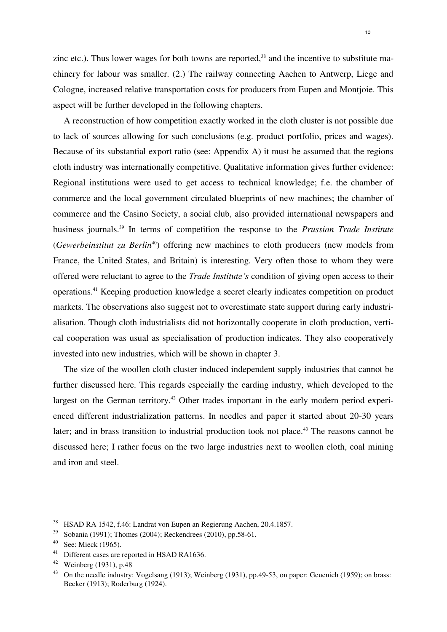zinc etc.). Thus lower wages for both towns are reported, $38$  and the incentive to substitute machinery for labour was smaller. (2.) The railway connecting Aachen to Antwerp, Liege and Cologne, increased relative transportation costs for producers from Eupen and Montjoie. This aspect will be further developed in the following chapters.

A reconstruction of how competition exactly worked in the cloth cluster is not possible due to lack of sources allowing for such conclusions (e.g. product portfolio, prices and wages). Because of its substantial export ratio (see: Appendix A) it must be assumed that the regions cloth industry was internationally competitive. Qualitative information gives further evidence: Regional institutions were used to get access to technical knowledge; f.e. the chamber of commerce and the local government circulated blueprints of new machines; the chamber of commerce and the Casino Society, a social club, also provided international newspapers and business journals.<sup>39</sup> In terms of competition the response to the *Prussian Trade Institute* (*Gewerbeinstitut zu Berlin*<sup>40</sup>) offering new machines to cloth producers (new models from France, the United States, and Britain) is interesting. Very often those to whom they were offered were reluctant to agree to the *Trade Institute's* condition of giving open access to their operations.<sup>41</sup> Keeping production knowledge a secret clearly indicates competition on product markets. The observations also suggest not to overestimate state support during early industrialisation. Though cloth industrialists did not horizontally cooperate in cloth production, vertical cooperation was usual as specialisation of production indicates. They also cooperatively invested into new industries, which will be shown in chapter 3.

The size of the woollen cloth cluster induced independent supply industries that cannot be further discussed here. This regards especially the carding industry, which developed to the largest on the German territory.<sup>42</sup> Other trades important in the early modern period experienced different industrialization patterns. In needles and paper it started about 20-30 years later; and in brass transition to industrial production took not place.<sup>43</sup> The reasons cannot be discussed here; I rather focus on the two large industries next to woollen cloth, coal mining and iron and steel.

<sup>38</sup> HSAD RA 1542, f.46: Landrat von Eupen an Regierung Aachen, 20.4.1857.

<sup>39</sup> Sobania (1991); Thomes (2004); Reckendrees (2010), pp.58-61.

 $40$  See: Mieck (1965).

<sup>&</sup>lt;sup>41</sup> Different cases are reported in HSAD RA1636.

 $42$  Weinberg (1931), p.48

<sup>&</sup>lt;sup>43</sup> On the needle industry: Vogelsang (1913); Weinberg (1931), pp.49-53, on paper: Geuenich (1959); on brass: Becker (1913); Roderburg (1924).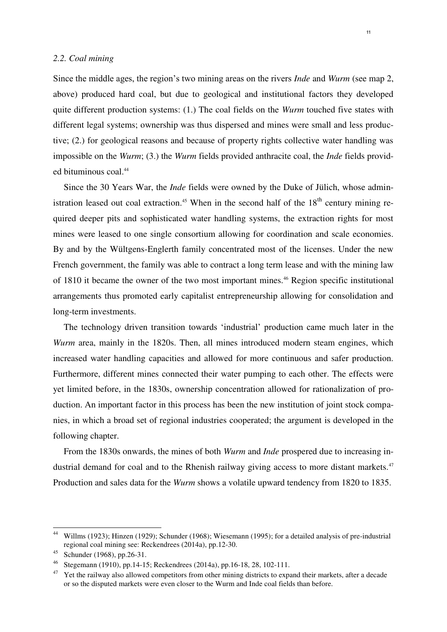#### *2.2. Coal mining*

Since the middle ages, the region's two mining areas on the rivers *Inde* and *Wurm* (see map 2, above) produced hard coal, but due to geological and institutional factors they developed quite different production systems: (1.) The coal fields on the *Wurm* touched five states with different legal systems; ownership was thus dispersed and mines were small and less productive; (2.) for geological reasons and because of property rights collective water handling was impossible on the *Wurm*; (3.) the *Wurm* fields provided anthracite coal, the *Inde* fields provided bituminous coal.<sup>44</sup>

Since the 30 Years War, the *Inde* fields were owned by the Duke of Jülich, whose administration leased out coal extraction.<sup>45</sup> When in the second half of the  $18<sup>th</sup>$  century mining required deeper pits and sophisticated water handling systems, the extraction rights for most mines were leased to one single consortium allowing for coordination and scale economies. By and by the Wültgens-Englerth family concentrated most of the licenses. Under the new French government, the family was able to contract a long term lease and with the mining law of 1810 it became the owner of the two most important mines.<sup>46</sup> Region specific institutional arrangements thus promoted early capitalist entrepreneurship allowing for consolidation and long-term investments.

The technology driven transition towards 'industrial' production came much later in the *Wurm* area, mainly in the 1820s. Then, all mines introduced modern steam engines, which increased water handling capacities and allowed for more continuous and safer production. Furthermore, different mines connected their water pumping to each other. The effects were yet limited before, in the 1830s, ownership concentration allowed for rationalization of production. An important factor in this process has been the new institution of joint stock companies, in which a broad set of regional industries cooperated; the argument is developed in the following chapter.

From the 1830s onwards, the mines of both *Wurm* and *Inde* prospered due to increasing industrial demand for coal and to the Rhenish railway giving access to more distant markets.<sup>47</sup> Production and sales data for the *Wurm* shows a volatile upward tendency from 1820 to 1835.

<sup>44</sup> Willms (1923); Hinzen (1929); Schunder (1968); Wiesemann (1995); for a detailed analysis of pre-industrial regional coal mining see: Reckendrees (2014a), pp.12-30.

<sup>45</sup> Schunder (1968), pp.26-31.

<sup>46</sup> Stegemann (1910), pp.14-15; Reckendrees (2014a), pp.16-18, 28, 102-111.

<sup>47</sup> Yet the railway also allowed competitors from other mining districts to expand their markets, after a decade or so the disputed markets were even closer to the Wurm and Inde coal fields than before.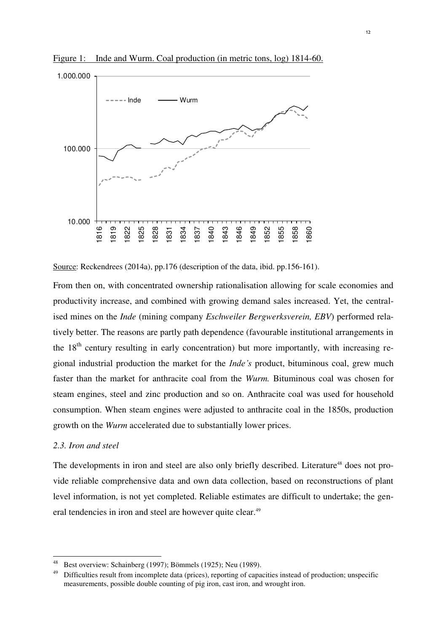

Figure 1: Inde and Wurm. Coal production (in metric tons, log) 1814-60.

Source: Reckendrees (2014a), pp.176 (description of the data, ibid. pp.156-161).

From then on, with concentrated ownership rationalisation allowing for scale economies and productivity increase, and combined with growing demand sales increased. Yet, the centralised mines on the *Inde* (mining company *Eschweiler Bergwerksverein, EBV*) performed relatively better. The reasons are partly path dependence (favourable institutional arrangements in the  $18<sup>th</sup>$  century resulting in early concentration) but more importantly, with increasing regional industrial production the market for the *Inde's* product, bituminous coal, grew much faster than the market for anthracite coal from the *Wurm.* Bituminous coal was chosen for steam engines, steel and zinc production and so on. Anthracite coal was used for household consumption. When steam engines were adjusted to anthracite coal in the 1850s, production growth on the *Wurm* accelerated due to substantially lower prices.

#### *2.3. Iron and steel*

 $\overline{a}$ 

The developments in iron and steel are also only briefly described. Literature<sup>48</sup> does not provide reliable comprehensive data and own data collection, based on reconstructions of plant level information, is not yet completed. Reliable estimates are difficult to undertake; the general tendencies in iron and steel are however quite clear.<sup>49</sup>

<sup>48</sup> Best overview: Schainberg (1997); Bömmels (1925); Neu (1989).

<sup>&</sup>lt;sup>49</sup> Difficulties result from incomplete data (prices), reporting of capacities instead of production; unspecific measurements, possible double counting of pig iron, cast iron, and wrought iron.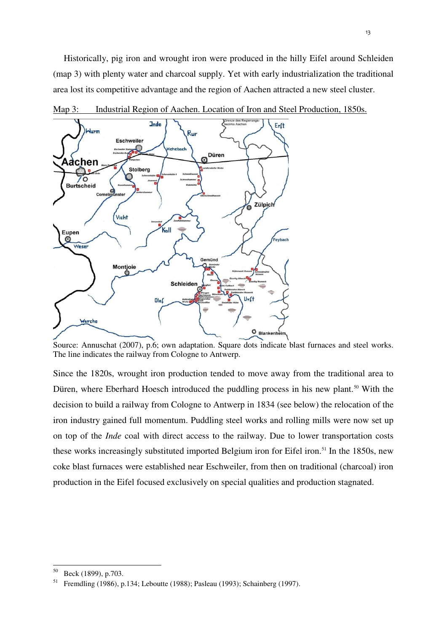Historically, pig iron and wrought iron were produced in the hilly Eifel around Schleiden (map 3) with plenty water and charcoal supply. Yet with early industrialization the traditional area lost its competitive advantage and the region of Aachen attracted a new steel cluster.



Map 3: Industrial Region of Aachen. Location of Iron and Steel Production, 1850s.

Source: Annuschat (2007), p.6; own adaptation. Square dots indicate blast furnaces and steel works. The line indicates the railway from Cologne to Antwerp.

Since the 1820s, wrought iron production tended to move away from the traditional area to Düren, where Eberhard Hoesch introduced the puddling process in his new plant.<sup>50</sup> With the decision to build a railway from Cologne to Antwerp in 1834 (see below) the relocation of the iron industry gained full momentum. Puddling steel works and rolling mills were now set up on top of the *Inde* coal with direct access to the railway. Due to lower transportation costs these works increasingly substituted imported Belgium iron for Eifel iron.<sup>51</sup> In the 1850s, new coke blast furnaces were established near Eschweiler, from then on traditional (charcoal) iron production in the Eifel focused exclusively on special qualities and production stagnated.

Beck (1899), p.703.

<sup>51</sup> Fremdling (1986), p.134; Leboutte (1988); Pasleau (1993); Schainberg (1997).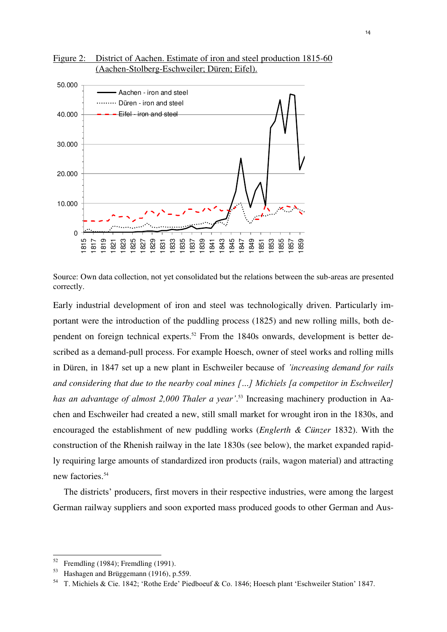

Figure 2: District of Aachen. Estimate of iron and steel production 1815-60 (Aachen-Stolberg-Eschweiler; Düren; Eifel).

Source: Own data collection, not yet consolidated but the relations between the sub-areas are presented correctly.

Early industrial development of iron and steel was technologically driven. Particularly important were the introduction of the puddling process (1825) and new rolling mills, both dependent on foreign technical experts.<sup>52</sup> From the 1840s onwards, development is better described as a demand-pull process. For example Hoesch, owner of steel works and rolling mills in Düren, in 1847 set up a new plant in Eschweiler because of *'increasing demand for rails and considering that due to the nearby coal mines […] Michiels [a competitor in Eschweiler] has an advantage of almost 2,000 Thaler a year'*. 53 Increasing machinery production in Aachen and Eschweiler had created a new, still small market for wrought iron in the 1830s, and encouraged the establishment of new puddling works (*Englerth & Cünzer* 1832). With the construction of the Rhenish railway in the late 1830s (see below), the market expanded rapidly requiring large amounts of standardized iron products (rails, wagon material) and attracting new factories.<sup>54</sup>

The districts' producers, first movers in their respective industries, were among the largest German railway suppliers and soon exported mass produced goods to other German and Aus-

<sup>&</sup>lt;sup>52</sup> Fremdling (1984); Fremdling (1991).<br><sup>53</sup> Hosbagen and Brüggemann (1916).

Hashagen and Brüggemann (1916), p.559.

<sup>54</sup> T. Michiels & Cie. 1842; 'Rothe Erde' Piedboeuf & Co. 1846; Hoesch plant 'Eschweiler Station' 1847.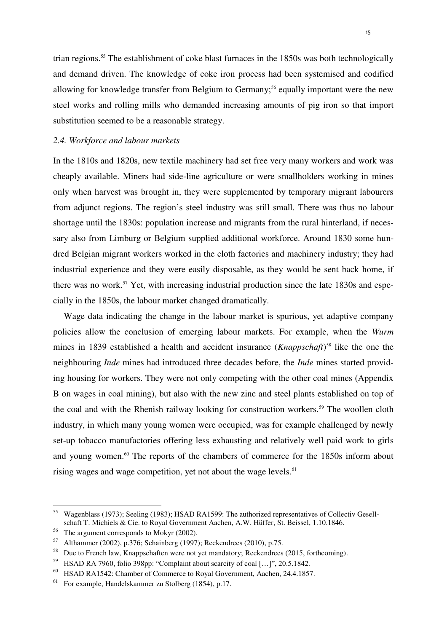trian regions.<sup>55</sup> The establishment of coke blast furnaces in the 1850s was both technologically and demand driven. The knowledge of coke iron process had been systemised and codified allowing for knowledge transfer from Belgium to Germany;<sup>56</sup> equally important were the new steel works and rolling mills who demanded increasing amounts of pig iron so that import substitution seemed to be a reasonable strategy.

#### *2.4. Workforce and labour markets*

In the 1810s and 1820s, new textile machinery had set free very many workers and work was cheaply available. Miners had side-line agriculture or were smallholders working in mines only when harvest was brought in, they were supplemented by temporary migrant labourers from adjunct regions. The region's steel industry was still small. There was thus no labour shortage until the 1830s: population increase and migrants from the rural hinterland, if necessary also from Limburg or Belgium supplied additional workforce. Around 1830 some hundred Belgian migrant workers worked in the cloth factories and machinery industry; they had industrial experience and they were easily disposable, as they would be sent back home, if there was no work.<sup>57</sup> Yet, with increasing industrial production since the late 1830s and especially in the 1850s, the labour market changed dramatically.

Wage data indicating the change in the labour market is spurious, yet adaptive company policies allow the conclusion of emerging labour markets. For example, when the *Wurm* mines in 1839 established a health and accident insurance (*Knappschaft*) <sup>58</sup> like the one the neighbouring *Inde* mines had introduced three decades before, the *Inde* mines started providing housing for workers. They were not only competing with the other coal mines (Appendix B on wages in coal mining), but also with the new zinc and steel plants established on top of the coal and with the Rhenish railway looking for construction workers.<sup>59</sup> The woollen cloth industry, in which many young women were occupied, was for example challenged by newly set-up tobacco manufactories offering less exhausting and relatively well paid work to girls and young women.<sup>60</sup> The reports of the chambers of commerce for the 1850s inform about rising wages and wage competition, yet not about the wage levels.<sup>61</sup>

<sup>55</sup> Wagenblass (1973); Seeling (1983); HSAD RA1599: The authorized representatives of Collectiv Gesellschaft T. Michiels & Cie. to Royal Government Aachen, A.W. Hüffer, St. Beissel, 1.10.1846.

<sup>56</sup> The argument corresponds to Mokyr (2002).

<sup>57</sup> Althammer (2002), p.376; Schainberg (1997); Reckendrees (2010), p.75.

<sup>58</sup> Due to French law, Knappschaften were not yet mandatory; Reckendrees (2015, forthcoming).

<sup>59</sup> HSAD RA 7960, folio 398pp: "Complaint about scarcity of coal […]", 20.5.1842.

<sup>60</sup> HSAD RA1542: Chamber of Commerce to Royal Government, Aachen, 24.4.1857.

<sup>61</sup> For example, Handelskammer zu Stolberg (1854), p.17.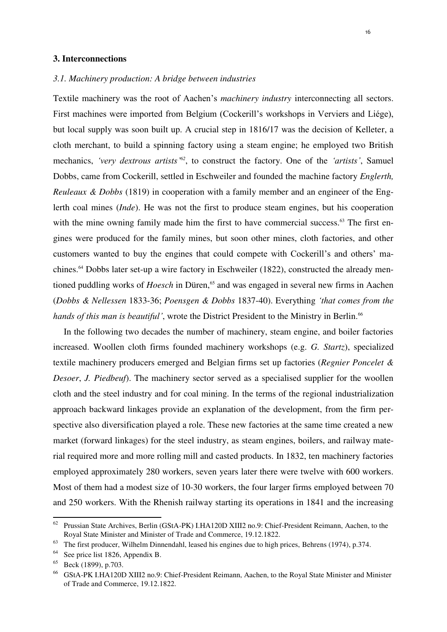#### **3. Interconnections**

#### *3.1. Machinery production: A bridge between industries*

Textile machinery was the root of Aachen's *machinery industry* interconnecting all sectors. First machines were imported from Belgium (Cockerill's workshops in Verviers and Liége), but local supply was soon built up. A crucial step in 1816/17 was the decision of Kelleter, a cloth merchant, to build a spinning factory using a steam engine; he employed two British mechanics, *'very dextrous artists'<sup>62</sup>*, to construct the factory. One of the *'artists'*, Samuel Dobbs, came from Cockerill, settled in Eschweiler and founded the machine factory *Englerth, Reuleaux & Dobbs* (1819) in cooperation with a family member and an engineer of the Englerth coal mines (*Inde*). He was not the first to produce steam engines, but his cooperation with the mine owning family made him the first to have commercial success.<sup>63</sup> The first engines were produced for the family mines, but soon other mines, cloth factories, and other customers wanted to buy the engines that could compete with Cockerill's and others' machines.64 Dobbs later set-up a wire factory in Eschweiler (1822), constructed the already mentioned puddling works of *Hoesch* in Düren,<sup>65</sup> and was engaged in several new firms in Aachen (*Dobbs & Nellessen* 1833-36; *Poensgen & Dobbs* 1837-40). Everything *'that comes from the*  hands of this man is beautiful', wrote the District President to the Ministry in Berlin.<sup>66</sup>

In the following two decades the number of machinery, steam engine, and boiler factories increased. Woollen cloth firms founded machinery workshops (e.g. *G. Startz*), specialized textile machinery producers emerged and Belgian firms set up factories (*Regnier Poncelet & Desoer*, *J. Piedbeuf*). The machinery sector served as a specialised supplier for the woollen cloth and the steel industry and for coal mining. In the terms of the regional industrialization approach backward linkages provide an explanation of the development, from the firm perspective also diversification played a role. These new factories at the same time created a new market (forward linkages) for the steel industry, as steam engines, boilers, and railway material required more and more rolling mill and casted products. In 1832, ten machinery factories employed approximately 280 workers, seven years later there were twelve with 600 workers. Most of them had a modest size of 10-30 workers, the four larger firms employed between 70 and 250 workers. With the Rhenish railway starting its operations in 1841 and the increasing

<sup>&</sup>lt;sup>62</sup> Prussian State Archives, Berlin (GStA-PK) I.HA120D XIII2 no.9: Chief-President Reimann, Aachen, to the Royal State Minister and Minister of Trade and Commerce, 19.12.1822.

<sup>63</sup> The first producer, Wilhelm Dinnendahl, leased his engines due to high prices, Behrens (1974), p.374.

<sup>&</sup>lt;sup>64</sup> See price list 1826, Appendix B.

<sup>65</sup> Beck (1899), p.703.

<sup>66</sup> GStA-PK I.HA120D XIII2 no.9: Chief-President Reimann, Aachen, to the Royal State Minister and Minister of Trade and Commerce, 19.12.1822.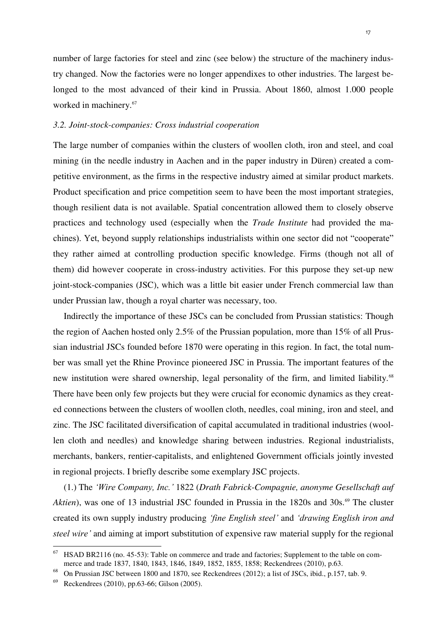number of large factories for steel and zinc (see below) the structure of the machinery industry changed. Now the factories were no longer appendixes to other industries. The largest belonged to the most advanced of their kind in Prussia. About 1860, almost 1.000 people worked in machinery.<sup>67</sup>

#### *3.2. Joint-stock-companies: Cross industrial cooperation*

The large number of companies within the clusters of woollen cloth, iron and steel, and coal mining (in the needle industry in Aachen and in the paper industry in Düren) created a competitive environment, as the firms in the respective industry aimed at similar product markets. Product specification and price competition seem to have been the most important strategies, though resilient data is not available. Spatial concentration allowed them to closely observe practices and technology used (especially when the *Trade Institute* had provided the machines). Yet, beyond supply relationships industrialists within one sector did not "cooperate" they rather aimed at controlling production specific knowledge. Firms (though not all of them) did however cooperate in cross-industry activities. For this purpose they set-up new joint-stock-companies (JSC), which was a little bit easier under French commercial law than under Prussian law, though a royal charter was necessary, too.

Indirectly the importance of these JSCs can be concluded from Prussian statistics: Though the region of Aachen hosted only 2.5% of the Prussian population, more than 15% of all Prussian industrial JSCs founded before 1870 were operating in this region. In fact, the total number was small yet the Rhine Province pioneered JSC in Prussia. The important features of the new institution were shared ownership, legal personality of the firm, and limited liability.<sup>68</sup> There have been only few projects but they were crucial for economic dynamics as they created connections between the clusters of woollen cloth, needles, coal mining, iron and steel, and zinc. The JSC facilitated diversification of capital accumulated in traditional industries (woollen cloth and needles) and knowledge sharing between industries. Regional industrialists, merchants, bankers, rentier-capitalists, and enlightened Government officials jointly invested in regional projects. I briefly describe some exemplary JSC projects.

(1.) The *'Wire Company, Inc.'* 1822 (*Drath Fabrick-Compagnie, anonyme Gesellschaft auf Aktien*), was one of 13 industrial JSC founded in Prussia in the 1820s and 30s.<sup>69</sup> The cluster created its own supply industry producing *'fine English steel'* and *'drawing English iron and steel wire'* and aiming at import substitution of expensive raw material supply for the regional

HSAD BR2116 (no. 45-53): Table on commerce and trade and factories; Supplement to the table on commerce and trade 1837, 1840, 1843, 1846, 1849, 1852, 1855, 1858; Reckendrees (2010), p.63.

<sup>68</sup> On Prussian JSC between 1800 and 1870, see Reckendrees (2012); a list of JSCs, ibid., p.157, tab. 9.

Reckendrees (2010), pp.63-66; Gilson (2005).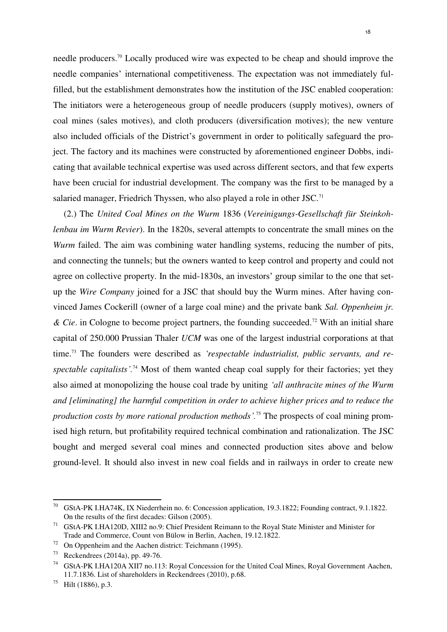needle producers.<sup>70</sup> Locally produced wire was expected to be cheap and should improve the needle companies' international competitiveness. The expectation was not immediately fulfilled, but the establishment demonstrates how the institution of the JSC enabled cooperation: The initiators were a heterogeneous group of needle producers (supply motives), owners of coal mines (sales motives), and cloth producers (diversification motives); the new venture also included officials of the District's government in order to politically safeguard the project. The factory and its machines were constructed by aforementioned engineer Dobbs, indicating that available technical expertise was used across different sectors, and that few experts have been crucial for industrial development. The company was the first to be managed by a salaried manager, Friedrich Thyssen, who also played a role in other JSC.<sup>71</sup>

(2.) The *United Coal Mines on the Wurm* 1836 (*Vereinigungs-Gesellschaft für Steinkohlenbau im Wurm Revier*). In the 1820s, several attempts to concentrate the small mines on the *Wurm* failed. The aim was combining water handling systems, reducing the number of pits, and connecting the tunnels; but the owners wanted to keep control and property and could not agree on collective property. In the mid-1830s, an investors' group similar to the one that setup the *Wire Company* joined for a JSC that should buy the Wurm mines. After having convinced James Cockerill (owner of a large coal mine) and the private bank *Sal. Oppenheim jr. & Cie*. in Cologne to become project partners, the founding succeeded.<sup>72</sup> With an initial share capital of 250.000 Prussian Thaler *UCM* was one of the largest industrial corporations at that time.73 The founders were described as *'respectable industrialist, public servants, and respectable capitalists'.*<sup>74</sup> Most of them wanted cheap coal supply for their factories; yet they also aimed at monopolizing the house coal trade by uniting *'all anthracite mines of the Wurm and [eliminating] the harmful competition in order to achieve higher prices and to reduce the production costs by more rational production methods'.*<sup>75</sup> The prospects of coal mining promised high return, but profitability required technical combination and rationalization. The JSC bought and merged several coal mines and connected production sites above and below ground-level. It should also invest in new coal fields and in railways in order to create new

<sup>70</sup> GStA-PK I.HA74K, IX Niederrhein no. 6: Concession application, 19.3.1822; Founding contract, 9.1.1822. On the results of the first decades: Gilson (2005).

<sup>71</sup> GStA-PK I.HA120D, XIII2 no.9: Chief President Reimann to the Royal State Minister and Minister for Trade and Commerce, Count von Bülow in Berlin, Aachen, 19.12.1822.

 $72$  On Oppenheim and the Aachen district: Teichmann (1995).

<sup>73</sup> Reckendrees (2014a), pp. 49-76.

<sup>74</sup> GStA-PK I.HA120A XII7 no.113: Royal Concession for the United Coal Mines, Royal Government Aachen, 11.7.1836. List of shareholders in Reckendrees (2010), p.68.

 $^{75}$  Hilt (1886), p.3.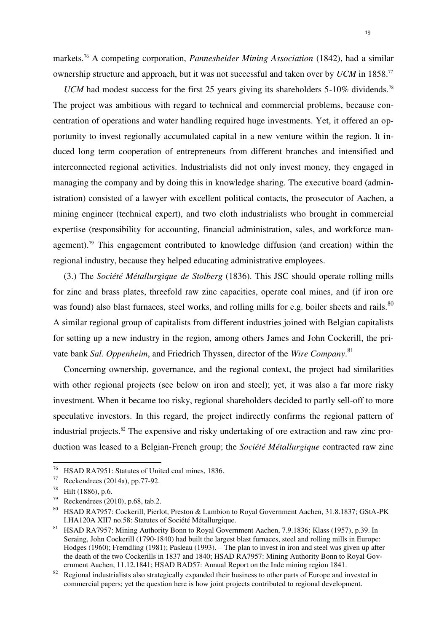markets.<sup>76</sup> A competing corporation, *Pannesheider Mining Association* (1842), had a similar ownership structure and approach, but it was not successful and taken over by *UCM* in 1858.<sup>77</sup>

*UCM* had modest success for the first 25 years giving its shareholders  $5\text{-}10\%$  dividends.<sup>78</sup> The project was ambitious with regard to technical and commercial problems, because concentration of operations and water handling required huge investments. Yet, it offered an opportunity to invest regionally accumulated capital in a new venture within the region. It induced long term cooperation of entrepreneurs from different branches and intensified and interconnected regional activities. Industrialists did not only invest money, they engaged in managing the company and by doing this in knowledge sharing. The executive board (administration) consisted of a lawyer with excellent political contacts, the prosecutor of Aachen, a mining engineer (technical expert), and two cloth industrialists who brought in commercial expertise (responsibility for accounting, financial administration, sales, and workforce management).<sup>79</sup> This engagement contributed to knowledge diffusion (and creation) within the regional industry, because they helped educating administrative employees.

(3.) The *Société Métallurgique de Stolberg* (1836). This JSC should operate rolling mills for zinc and brass plates, threefold raw zinc capacities, operate coal mines, and (if iron ore was found) also blast furnaces, steel works, and rolling mills for e.g. boiler sheets and rails.<sup>80</sup> A similar regional group of capitalists from different industries joined with Belgian capitalists for setting up a new industry in the region, among others James and John Cockerill, the private bank *Sal. Oppenheim*, and Friedrich Thyssen, director of the *Wire Company*. 81

Concerning ownership, governance, and the regional context, the project had similarities with other regional projects (see below on iron and steel); yet, it was also a far more risky investment. When it became too risky, regional shareholders decided to partly sell-off to more speculative investors. In this regard, the project indirectly confirms the regional pattern of industrial projects.<sup>82</sup> The expensive and risky undertaking of ore extraction and raw zinc production was leased to a Belgian-French group; the *Société Métallurgique* contracted raw zinc

<sup>&</sup>lt;sup>76</sup> HSAD RA7951: Statutes of United coal mines, 1836.<br><sup>77</sup> Peckendrees (2014a), pp. 77, 92

<sup>77</sup> Reckendrees (2014a), pp.77-92.

<sup>78</sup> Hilt (1886), p.6.

 $79$  Reckendrees (2010), p.68, tab.2.

<sup>80</sup> HSAD RA7957: Cockerill, Pierlot, Preston & Lambion to Royal Government Aachen, 31.8.1837; GStA-PK I.HA120A XII7 no.58: Statutes of Société Métallurgique.

<sup>81</sup> HSAD RA7957: Mining Authority Bonn to Royal Government Aachen, 7.9.1836; Klass (1957), p.39. In Seraing, John Cockerill (1790-1840) had built the largest blast furnaces, steel and rolling mills in Europe: Hodges (1960); Fremdling (1981); Pasleau (1993). – The plan to invest in iron and steel was given up after the death of the two Cockerills in 1837 and 1840; HSAD RA7957: Mining Authority Bonn to Royal Government Aachen, 11.12.1841; HSAD BAD57: Annual Report on the Inde mining region 1841.

<sup>&</sup>lt;sup>82</sup> Regional industrialists also strategically expanded their business to other parts of Europe and invested in commercial papers; yet the question here is how joint projects contributed to regional development.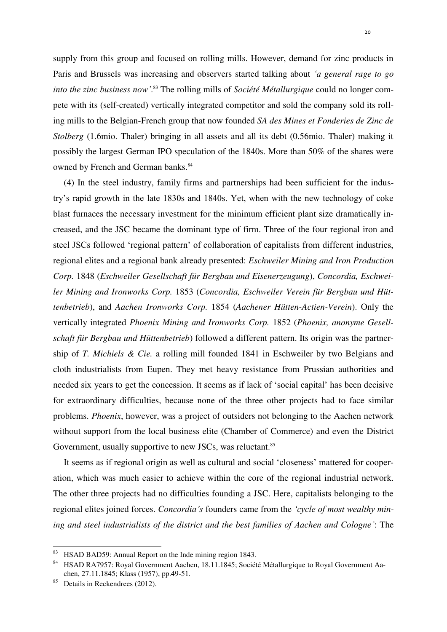supply from this group and focused on rolling mills. However, demand for zinc products in Paris and Brussels was increasing and observers started talking about *'a general rage to go into the zinc business now'*. 83 The rolling mills of *Société Métallurgique* could no longer compete with its (self-created) vertically integrated competitor and sold the company sold its rolling mills to the Belgian-French group that now founded *SA des Mines et Fonderies de Zinc de Stolberg* (1.6mio. Thaler) bringing in all assets and all its debt (0.56mio. Thaler) making it possibly the largest German IPO speculation of the 1840s. More than 50% of the shares were owned by French and German banks.<sup>84</sup>

(4) In the steel industry, family firms and partnerships had been sufficient for the industry's rapid growth in the late 1830s and 1840s. Yet, when with the new technology of coke blast furnaces the necessary investment for the minimum efficient plant size dramatically increased, and the JSC became the dominant type of firm. Three of the four regional iron and steel JSCs followed 'regional pattern' of collaboration of capitalists from different industries, regional elites and a regional bank already presented: *Eschweiler Mining and Iron Production Corp.* 1848 (*Eschweiler Gesellschaft für Bergbau und Eisenerzeugung*), *Concordia, Eschweiler Mining and Ironworks Corp.* 1853 (*Concordia, Eschweiler Verein für Bergbau und Hüttenbetrieb*), and *Aachen Ironworks Corp.* 1854 (*Aachener Hütten-Actien-Verein*). Only the vertically integrated *Phoenix Mining and Ironworks Corp.* 1852 (*Phoenix, anonyme Gesellschaft für Bergbau und Hüttenbetrieb*) followed a different pattern. Its origin was the partnership of *T. Michiels & Cie.* a rolling mill founded 1841 in Eschweiler by two Belgians and cloth industrialists from Eupen. They met heavy resistance from Prussian authorities and needed six years to get the concession. It seems as if lack of 'social capital' has been decisive for extraordinary difficulties, because none of the three other projects had to face similar problems. *Phoenix*, however, was a project of outsiders not belonging to the Aachen network without support from the local business elite (Chamber of Commerce) and even the District Government, usually supportive to new JSCs, was reluctant.<sup>85</sup>

It seems as if regional origin as well as cultural and social 'closeness' mattered for cooperation, which was much easier to achieve within the core of the regional industrial network. The other three projects had no difficulties founding a JSC. Here, capitalists belonging to the regional elites joined forces. *Concordia's* founders came from the *'cycle of most wealthy mining and steel industrialists of the district and the best families of Aachen and Cologne'*: The

<sup>&</sup>lt;sup>83</sup> HSAD BAD59: Annual Report on the Inde mining region 1843.

<sup>&</sup>lt;sup>84</sup> HSAD RA7957: Royal Government Aachen, 18.11.1845; Société Métallurgique to Royal Government Aachen, 27.11.1845; Klass (1957), pp.49-51.

Details in Reckendrees (2012).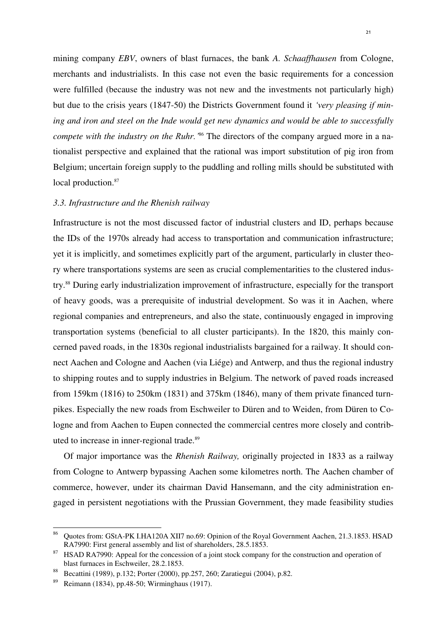mining company *EBV*, owners of blast furnaces, the bank *A. Schaaffhausen* from Cologne, merchants and industrialists. In this case not even the basic requirements for a concession were fulfilled (because the industry was not new and the investments not particularly high) but due to the crisis years (1847-50) the Districts Government found it *'very pleasing if mining and iron and steel on the Inde would get new dynamics and would be able to successfully compete with the industry on the Ruhr.*<sup>86</sup> The directors of the company argued more in a nationalist perspective and explained that the rational was import substitution of pig iron from Belgium; uncertain foreign supply to the puddling and rolling mills should be substituted with local production.<sup>87</sup>

#### *3.3. Infrastructure and the Rhenish railway*

Infrastructure is not the most discussed factor of industrial clusters and ID, perhaps because the IDs of the 1970s already had access to transportation and communication infrastructure; yet it is implicitly, and sometimes explicitly part of the argument, particularly in cluster theory where transportations systems are seen as crucial complementarities to the clustered industry.<sup>88</sup> During early industrialization improvement of infrastructure, especially for the transport of heavy goods, was a prerequisite of industrial development. So was it in Aachen, where regional companies and entrepreneurs, and also the state, continuously engaged in improving transportation systems (beneficial to all cluster participants). In the 1820, this mainly concerned paved roads, in the 1830s regional industrialists bargained for a railway. It should connect Aachen and Cologne and Aachen (via Liége) and Antwerp, and thus the regional industry to shipping routes and to supply industries in Belgium. The network of paved roads increased from 159km (1816) to 250km (1831) and 375km (1846), many of them private financed turnpikes. Especially the new roads from Eschweiler to Düren and to Weiden, from Düren to Cologne and from Aachen to Eupen connected the commercial centres more closely and contributed to increase in inner-regional trade.<sup>89</sup>

Of major importance was the *Rhenish Railway,* originally projected in 1833 as a railway from Cologne to Antwerp bypassing Aachen some kilometres north. The Aachen chamber of commerce, however, under its chairman David Hansemann, and the city administration engaged in persistent negotiations with the Prussian Government, they made feasibility studies

<sup>86</sup> Quotes from: GStA-PK I.HA120A XII7 no.69: Opinion of the Royal Government Aachen, 21.3.1853. HSAD RA7990: First general assembly and list of shareholders, 28.5.1853.

<sup>&</sup>lt;sup>87</sup> HSAD RA7990: Appeal for the concession of a joint stock company for the construction and operation of blast furnaces in Eschweiler, 28.2.1853.

<sup>88</sup> Becattini (1989), p.132; Porter (2000), pp.257, 260; Zaratiegui (2004), p.82.

<sup>89</sup> Reimann (1834), pp.48-50; Wirminghaus (1917).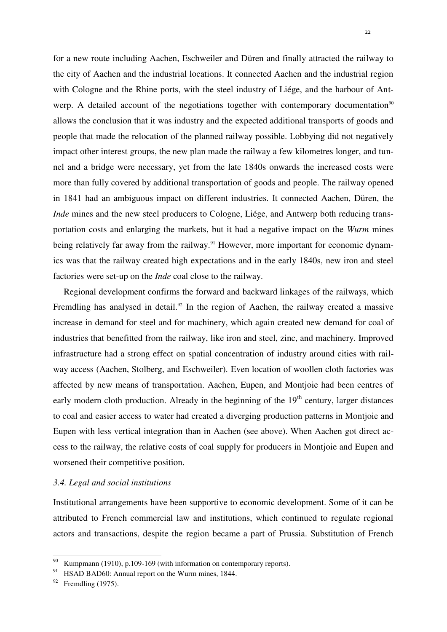for a new route including Aachen, Eschweiler and Düren and finally attracted the railway to the city of Aachen and the industrial locations. It connected Aachen and the industrial region with Cologne and the Rhine ports, with the steel industry of Liége, and the harbour of Antwerp. A detailed account of the negotiations together with contemporary documentation<sup>90</sup> allows the conclusion that it was industry and the expected additional transports of goods and people that made the relocation of the planned railway possible. Lobbying did not negatively impact other interest groups, the new plan made the railway a few kilometres longer, and tunnel and a bridge were necessary, yet from the late 1840s onwards the increased costs were more than fully covered by additional transportation of goods and people. The railway opened in 1841 had an ambiguous impact on different industries. It connected Aachen, Düren, the *Inde* mines and the new steel producers to Cologne, Liége, and Antwerp both reducing transportation costs and enlarging the markets, but it had a negative impact on the *Wurm* mines being relatively far away from the railway.<sup>91</sup> However, more important for economic dynamics was that the railway created high expectations and in the early 1840s, new iron and steel factories were set-up on the *Inde* coal close to the railway.

Regional development confirms the forward and backward linkages of the railways, which Fremdling has analysed in detail.<sup>92</sup> In the region of Aachen, the railway created a massive increase in demand for steel and for machinery, which again created new demand for coal of industries that benefitted from the railway, like iron and steel, zinc, and machinery. Improved infrastructure had a strong effect on spatial concentration of industry around cities with railway access (Aachen, Stolberg, and Eschweiler). Even location of woollen cloth factories was affected by new means of transportation. Aachen, Eupen, and Montjoie had been centres of early modern cloth production. Already in the beginning of the  $19<sup>th</sup>$  century, larger distances to coal and easier access to water had created a diverging production patterns in Montjoie and Eupen with less vertical integration than in Aachen (see above). When Aachen got direct access to the railway, the relative costs of coal supply for producers in Montjoie and Eupen and worsened their competitive position.

#### *3.4. Legal and social institutions*

Institutional arrangements have been supportive to economic development. Some of it can be attributed to French commercial law and institutions, which continued to regulate regional actors and transactions, despite the region became a part of Prussia. Substitution of French

Kumpmann (1910), p.109-169 (with information on contemporary reports).

<sup>&</sup>lt;sup>91</sup> HSAD BAD60: Annual report on the Wurm mines, 1844.

 $92$  Fremdling (1975).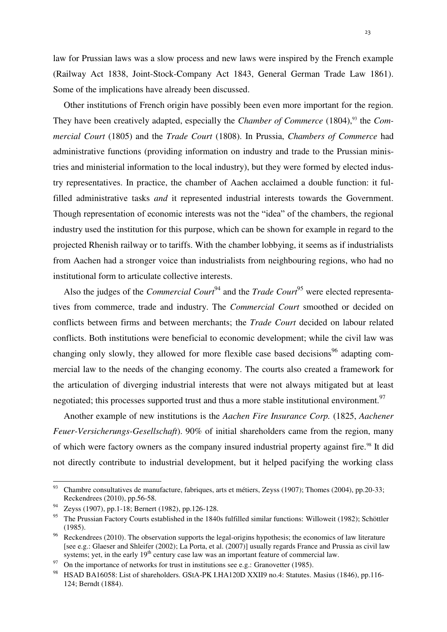law for Prussian laws was a slow process and new laws were inspired by the French example (Railway Act 1838, Joint-Stock-Company Act 1843, General German Trade Law 1861). Some of the implications have already been discussed.

Other institutions of French origin have possibly been even more important for the region. They have been creatively adapted, especially the *Chamber of Commerce* (1804),<sup>93</sup> the *Commercial Court* (1805) and the *Trade Court* (1808). In Prussia, *Chambers of Commerce* had administrative functions (providing information on industry and trade to the Prussian ministries and ministerial information to the local industry), but they were formed by elected industry representatives. In practice, the chamber of Aachen acclaimed a double function: it fulfilled administrative tasks *and* it represented industrial interests towards the Government. Though representation of economic interests was not the "idea" of the chambers, the regional industry used the institution for this purpose, which can be shown for example in regard to the projected Rhenish railway or to tariffs. With the chamber lobbying, it seems as if industrialists from Aachen had a stronger voice than industrialists from neighbouring regions, who had no institutional form to articulate collective interests.

Also the judges of the *Commercial Court*<sup>94</sup> and the *Trade Court*<sup>95</sup> were elected representatives from commerce, trade and industry. The *Commercial Court* smoothed or decided on conflicts between firms and between merchants; the *Trade Court* decided on labour related conflicts. Both institutions were beneficial to economic development; while the civil law was changing only slowly, they allowed for more flexible case based decisions<sup>96</sup> adapting commercial law to the needs of the changing economy. The courts also created a framework for the articulation of diverging industrial interests that were not always mitigated but at least negotiated; this processes supported trust and thus a more stable institutional environment.<sup>97</sup>

Another example of new institutions is the *Aachen Fire Insurance Corp.* (1825, *Aachener Feuer-Versicherungs-Gesellschaft*). 90% of initial shareholders came from the region, many of which were factory owners as the company insured industrial property against fire.<sup>98</sup> It did not directly contribute to industrial development, but it helped pacifying the working class

<sup>&</sup>lt;sup>93</sup> Chambre consultatives de manufacture, fabriques, arts et métiers, Zeyss (1907); Thomes (2004), pp.20-33; Reckendrees (2010), pp.56-58.

<sup>94</sup> Zeyss (1907), pp.1-18; Bernert (1982), pp.126-128.

<sup>&</sup>lt;sup>95</sup> The Prussian Factory Courts established in the 1840s fulfilled similar functions: Willoweit (1982); Schöttler (1985).

<sup>&</sup>lt;sup>96</sup> Reckendrees (2010). The observation supports the legal-origins hypothesis; the economics of law literature [see e.g.: Glaeser and Shleifer (2002); La Porta, et al. (2007)] usually regards France and Prussia as civil law systems; yet, in the early  $19<sup>th</sup>$  century case law was an important feature of commercial law.

On the importance of networks for trust in institutions see e.g.: Granovetter (1985).

<sup>98</sup> HSAD BA16058: List of shareholders. GStA-PK I.HA120D XXII9 no.4: Statutes. Masius (1846), pp.116- 124; Berndt (1884).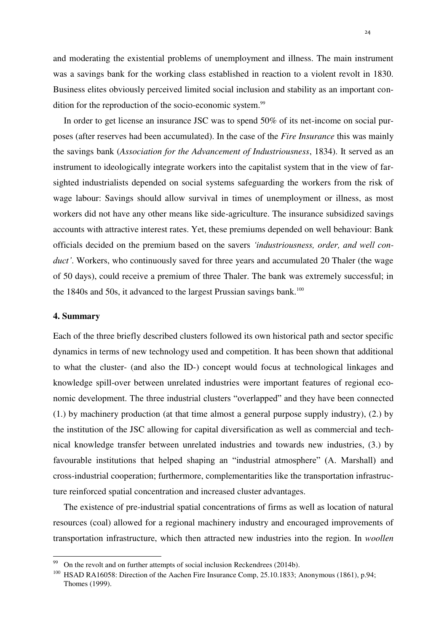and moderating the existential problems of unemployment and illness. The main instrument was a savings bank for the working class established in reaction to a violent revolt in 1830. Business elites obviously perceived limited social inclusion and stability as an important condition for the reproduction of the socio-economic system.<sup>99</sup>

In order to get license an insurance JSC was to spend 50% of its net-income on social purposes (after reserves had been accumulated). In the case of the *Fire Insurance* this was mainly the savings bank (*Association for the Advancement of Industriousness*, 1834). It served as an instrument to ideologically integrate workers into the capitalist system that in the view of farsighted industrialists depended on social systems safeguarding the workers from the risk of wage labour: Savings should allow survival in times of unemployment or illness, as most workers did not have any other means like side-agriculture. The insurance subsidized savings accounts with attractive interest rates. Yet, these premiums depended on well behaviour: Bank officials decided on the premium based on the savers *'industriousness, order, and well conduct'*. Workers, who continuously saved for three years and accumulated 20 Thaler (the wage of 50 days), could receive a premium of three Thaler. The bank was extremely successful; in the  $1840s$  and  $50s$ , it advanced to the largest Prussian savings bank.<sup>100</sup>

#### **4. Summary**

 $\overline{a}$ 

Each of the three briefly described clusters followed its own historical path and sector specific dynamics in terms of new technology used and competition. It has been shown that additional to what the cluster- (and also the ID-) concept would focus at technological linkages and knowledge spill-over between unrelated industries were important features of regional economic development. The three industrial clusters "overlapped" and they have been connected (1.) by machinery production (at that time almost a general purpose supply industry), (2.) by the institution of the JSC allowing for capital diversification as well as commercial and technical knowledge transfer between unrelated industries and towards new industries, (3.) by favourable institutions that helped shaping an "industrial atmosphere" (A. Marshall) and cross-industrial cooperation; furthermore, complementarities like the transportation infrastructure reinforced spatial concentration and increased cluster advantages.

The existence of pre-industrial spatial concentrations of firms as well as location of natural resources (coal) allowed for a regional machinery industry and encouraged improvements of transportation infrastructure, which then attracted new industries into the region. In *woollen* 

On the revolt and on further attempts of social inclusion Reckendrees (2014b).

<sup>&</sup>lt;sup>100</sup> HSAD RA16058: Direction of the Aachen Fire Insurance Comp, 25.10.1833; Anonymous (1861), p.94; Thomes (1999).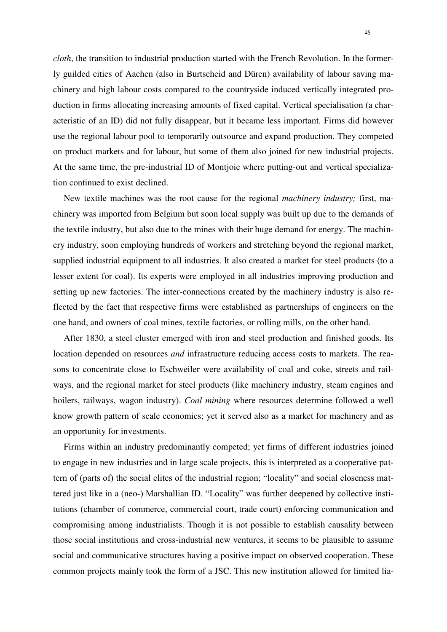*cloth*, the transition to industrial production started with the French Revolution. In the formerly guilded cities of Aachen (also in Burtscheid and Düren) availability of labour saving machinery and high labour costs compared to the countryside induced vertically integrated production in firms allocating increasing amounts of fixed capital. Vertical specialisation (a characteristic of an ID) did not fully disappear, but it became less important. Firms did however use the regional labour pool to temporarily outsource and expand production. They competed on product markets and for labour, but some of them also joined for new industrial projects. At the same time, the pre-industrial ID of Montjoie where putting-out and vertical specialization continued to exist declined.

New textile machines was the root cause for the regional *machinery industry;* first, machinery was imported from Belgium but soon local supply was built up due to the demands of the textile industry, but also due to the mines with their huge demand for energy. The machinery industry, soon employing hundreds of workers and stretching beyond the regional market, supplied industrial equipment to all industries. It also created a market for steel products (to a lesser extent for coal). Its experts were employed in all industries improving production and setting up new factories. The inter-connections created by the machinery industry is also reflected by the fact that respective firms were established as partnerships of engineers on the one hand, and owners of coal mines, textile factories, or rolling mills, on the other hand.

After 1830, a steel cluster emerged with iron and steel production and finished goods. Its location depended on resources *and* infrastructure reducing access costs to markets. The reasons to concentrate close to Eschweiler were availability of coal and coke, streets and railways, and the regional market for steel products (like machinery industry, steam engines and boilers, railways, wagon industry). *Coal mining* where resources determine followed a well know growth pattern of scale economics; yet it served also as a market for machinery and as an opportunity for investments.

Firms within an industry predominantly competed; yet firms of different industries joined to engage in new industries and in large scale projects, this is interpreted as a cooperative pattern of (parts of) the social elites of the industrial region; "locality" and social closeness mattered just like in a (neo-) Marshallian ID. "Locality" was further deepened by collective institutions (chamber of commerce, commercial court, trade court) enforcing communication and compromising among industrialists. Though it is not possible to establish causality between those social institutions and cross-industrial new ventures, it seems to be plausible to assume social and communicative structures having a positive impact on observed cooperation. These common projects mainly took the form of a JSC. This new institution allowed for limited lia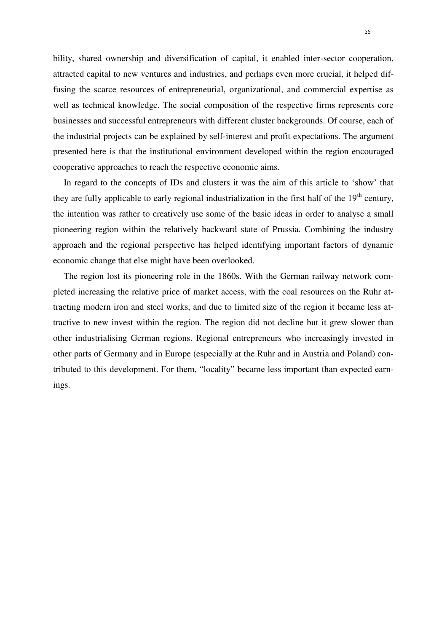bility, shared ownership and diversification of capital, it enabled inter-sector cooperation, attracted capital to new ventures and industries, and perhaps even more crucial, it helped diffusing the scarce resources of entrepreneurial, organizational, and commercial expertise as well as technical knowledge. The social composition of the respective firms represents core businesses and successful entrepreneurs with different cluster backgrounds. Of course, each of the industrial projects can be explained by self-interest and profit expectations. The argument presented here is that the institutional environment developed within the region encouraged cooperative approaches to reach the respective economic aims.

In regard to the concepts of IDs and clusters it was the aim of this article to 'show' that they are fully applicable to early regional industrialization in the first half of the  $19<sup>th</sup>$  century, the intention was rather to creatively use some of the basic ideas in order to analyse a small pioneering region within the relatively backward state of Prussia. Combining the industry approach and the regional perspective has helped identifying important factors of dynamic economic change that else might have been overlooked.

The region lost its pioneering role in the 1860s. With the German railway network completed increasing the relative price of market access, with the coal resources on the Ruhr attracting modern iron and steel works, and due to limited size of the region it became less attractive to new invest within the region. The region did not decline but it grew slower than other industrialising German regions. Regional entrepreneurs who increasingly invested in other parts of Germany and in Europe (especially at the Ruhr and in Austria and Poland) contributed to this development. For them, "locality" became less important than expected earnings.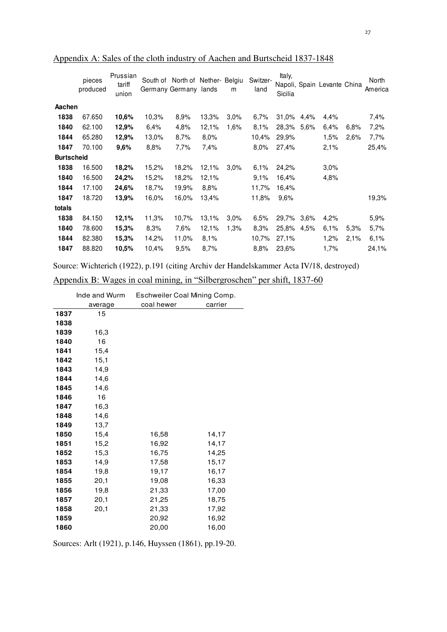|                   | pieces<br>produced | Prussian<br>tariff<br>union | South of | North of Nether- Belgiu<br>Germany Germany | lands | m    | Switzer-<br>land | Italy,<br>Sicilia |      | Napoli, Spain Levante China |      | North<br>America |
|-------------------|--------------------|-----------------------------|----------|--------------------------------------------|-------|------|------------------|-------------------|------|-----------------------------|------|------------------|
| Aachen            |                    |                             |          |                                            |       |      |                  |                   |      |                             |      |                  |
| 1838              | 67.650             | 10,6%                       | 10,3%    | 8,9%                                       | 13,3% | 3,0% | 6,7%             | 31,0%             | 4,4% | 4,4%                        |      | 7,4%             |
| 1840              | 62.100             | 12,9%                       | 6,4%     | 4,8%                                       | 12,1% | 1,6% | 8,1%             | 28,3%             | 5,6% | 6,4%                        | 6,8% | 7,2%             |
| 1844              | 65.280             | 12,9%                       | 13,0%    | 8,7%                                       | 8,0%  |      | 10,4%            | 29,9%             |      | 1,5%                        | 2,6% | 7,7%             |
| 1847              | 70.100             | 9,6%                        | 8,8%     | 7,7%                                       | 7,4%  |      | 8,0%             | 27,4%             |      | 2,1%                        |      | 25,4%            |
| <b>Burtscheid</b> |                    |                             |          |                                            |       |      |                  |                   |      |                             |      |                  |
| 1838              | 16.500             | 18,2%                       | 15,2%    | 18,2%                                      | 12,1% | 3.0% | 6.1%             | 24,2%             |      | $3.0\%$                     |      |                  |
| 1840              | 16.500             | 24,2%                       | 15,2%    | 18,2%                                      | 12,1% |      | 9.1%             | 16,4%             |      | 4,8%                        |      |                  |
| 1844              | 17.100             | 24,6%                       | 18,7%    | 19,9%                                      | 8,8%  |      | 11,7%            | 16,4%             |      |                             |      |                  |
| 1847              | 18.720             | 13,9%                       | 16,0%    | 16,0%                                      | 13,4% |      | 11,8%            | 9,6%              |      |                             |      | 19,3%            |
| totals            |                    |                             |          |                                            |       |      |                  |                   |      |                             |      |                  |
| 1838              | 84.150             | 12,1%                       | 11,3%    | 10,7%                                      | 13,1% | 3,0% | 6,5%             | 29,7%             | 3.6% | 4,2%                        |      | 5,9%             |
| 1840              | 78.600             | 15,3%                       | 8.3%     | 7,6%                                       | 12,1% | 1,3% | 8,3%             | 25.8%             | 4,5% | 6,1%                        | 5,3% | 5,7%             |
| 1844              | 82.380             | 15,3%                       | 14,2%    | 11,0%                                      | 8,1%  |      | 10,7%            | 27,1%             |      | 1,2%                        | 2,1% | 6,1%             |
| 1847              | 88.820             | 10.5%                       | 10,4%    | 9,5%                                       | 8,7%  |      | 8.8%             | 23,6%             |      | 1,7%                        |      | 24,1%            |

Appendix A: Sales of the cloth industry of Aachen and Burtscheid 1837-1848

Source: Wichterich (1922), p.191 (citing Archiv der Handelskammer Acta IV/18, destroyed)

Appendix B: Wages in coal mining, in "Silbergroschen" per shift, 1837-60

|      | Inde and Wurm | Eschweiler Coal Mining Comp. |         |  |  |  |
|------|---------------|------------------------------|---------|--|--|--|
|      | average       | coal hewer                   | carrier |  |  |  |
| 1837 | 15            |                              |         |  |  |  |
| 1838 |               |                              |         |  |  |  |
| 1839 | 16,3          |                              |         |  |  |  |
| 1840 | 16            |                              |         |  |  |  |
| 1841 | 15,4          |                              |         |  |  |  |
| 1842 | 15,1          |                              |         |  |  |  |
| 1843 | 14,9          |                              |         |  |  |  |
| 1844 | 14,6          |                              |         |  |  |  |
| 1845 | 14,6          |                              |         |  |  |  |
| 1846 | 16            |                              |         |  |  |  |
| 1847 | 16,3          |                              |         |  |  |  |
| 1848 | 14,6          |                              |         |  |  |  |
| 1849 | 13,7          |                              |         |  |  |  |
| 1850 | 15,4          | 16,58                        | 14,17   |  |  |  |
| 1851 | 15,2          | 16,92                        | 14,17   |  |  |  |
| 1852 | 15,3          | 16,75                        | 14,25   |  |  |  |
| 1853 | 14,9          | 17,58                        | 15,17   |  |  |  |
| 1854 | 19,8          | 19,17                        | 16,17   |  |  |  |
| 1855 | 20,1          | 19,08                        | 16,33   |  |  |  |
| 1856 | 19,8          | 21,33                        | 17,00   |  |  |  |
| 1857 | 20,1          | 21,25                        | 18,75   |  |  |  |
| 1858 | 20,1          | 21,33                        | 17,92   |  |  |  |
| 1859 |               | 20,92                        | 16,92   |  |  |  |
| 1860 |               | 20,00                        | 16,00   |  |  |  |

Sources: Arlt (1921), p.146, Huyssen (1861), pp.19-20.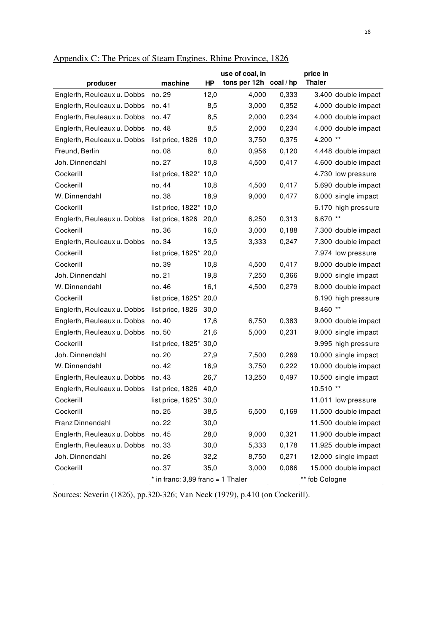| producer                    | machine                | <b>HP</b> | use of coal, in<br>tons per 12h coal/hp |       | price in<br><b>Thaler</b> |                      |
|-----------------------------|------------------------|-----------|-----------------------------------------|-------|---------------------------|----------------------|
| Englerth, Reuleaux u. Dobbs | no. 29                 | 12,0      | 4,000                                   | 0,333 |                           | 3.400 double impact  |
| Englerth, Reuleaux u. Dobbs | no. 41                 | 8,5       | 3,000                                   | 0,352 |                           | 4.000 double impact  |
| Englerth, Reuleaux u. Dobbs | no. 47                 | 8,5       | 2,000                                   | 0,234 |                           | 4.000 double impact  |
| Englerth, Reuleaux u. Dobbs | no. 48                 | 8,5       | 2,000                                   | 0,234 |                           | 4.000 double impact  |
| Englerth, Reuleaux u. Dobbs | list price, 1826       | 10,0      | 3,750                                   | 0,375 | 4.200 **                  |                      |
| Freund, Berlin              | no. 08                 | 8,0       | 0,956                                   | 0,120 |                           | 4.448 double impact  |
| Joh. Dinnendahl             | no. 27                 | 10,8      | 4,500                                   | 0,417 |                           | 4.600 double impact  |
| Cockerill                   | list price, 1822* 10,0 |           |                                         |       |                           | 4.730 low pressure   |
| Cockerill                   | no. 44                 | 10,8      | 4,500                                   | 0,417 |                           | 5.690 double impact  |
| W. Dinnendahl               | no. 38                 | 18,9      | 9,000                                   | 0,477 |                           | 6.000 single impact  |
| Cockerill                   | list price, 1822* 10,0 |           |                                         |       |                           | 6.170 high pressure  |
| Englerth, Reuleaux u. Dobbs | list price, 1826       | 20,0      | 6,250                                   | 0,313 | 6.670 **                  |                      |
| Cockerill                   | no. 36                 | 16,0      | 3,000                                   | 0,188 |                           | 7.300 double impact  |
| Englerth, Reuleaux u. Dobbs | no. 34                 | 13,5      | 3,333                                   | 0,247 |                           | 7.300 double impact  |
| Cockerill                   | list price, 1825* 20,0 |           |                                         |       |                           | 7.974 low pressure   |
| Cockerill                   | no. 39                 | 10,8      | 4,500                                   | 0,417 |                           | 8.000 double impact  |
| Joh. Dinnendahl             | no. 21                 | 19,8      | 7,250                                   | 0,366 |                           | 8.000 single impact  |
| W. Dinnendahl               | no. 46                 | 16,1      | 4,500                                   | 0,279 |                           | 8.000 double impact  |
| Cockerill                   | list price, 1825* 20,0 |           |                                         |       |                           | 8.190 high pressure  |
| Englerth, Reuleaux u. Dobbs | list price, 1826       | 30,0      |                                         |       | 8.460 **                  |                      |
| Englerth, Reuleaux u. Dobbs | no. 40                 | 17,6      | 6,750                                   | 0,383 |                           | 9.000 double impact  |
| Englerth, Reuleaux u. Dobbs | no.50                  | 21,6      | 5,000                                   | 0,231 |                           | 9.000 single impact  |
| Cockerill                   | list price, 1825* 30,0 |           |                                         |       |                           | 9.995 high pressure  |
| Joh. Dinnendahl             | no. 20                 | 27,9      | 7,500                                   | 0,269 |                           | 10.000 single impact |
| W. Dinnendahl               | no. 42                 | 16,9      | 3,750                                   | 0,222 |                           | 10.000 double impact |
| Englerth, Reuleaux u. Dobbs | no. 43                 | 26,7      | 13,250                                  | 0,497 |                           | 10.500 single impact |
| Englerth, Reuleaux u. Dobbs | list price, 1826       | 40,0      |                                         |       | 10.510 **                 |                      |
| Cockerill                   | list price, 1825* 30,0 |           |                                         |       |                           | 11.011 low pressure  |
| Cockerill                   | no. 25                 | 38,5      | 6,500                                   | 0,169 |                           | 11.500 double impact |
| Franz Dinnendahl            | no. 22                 | 30,0      |                                         |       |                           | 11.500 double impact |
| Englerth, Reuleaux u. Dobbs | no. 45                 | 28,0      | 9,000                                   | 0,321 |                           | 11.900 double impact |
| Englerth, Reuleaux u. Dobbs | no. 33                 | 30,0      | 5,333                                   | 0,178 |                           | 11.925 double impact |
| Joh. Dinnendahl             | no. 26                 | 32,2      | 8,750                                   | 0,271 |                           | 12.000 single impact |
| Cockerill                   | no. 37                 | 35,0      | 3,000                                   | 0,086 |                           | 15.000 double impact |

Appendix C: The Prices of Steam Engines. Rhine Province, 1826

 $*$  in franc: 3,89 franc = 1 Thaler  $*$   $*$  fob Cologne

Sources: Severin (1826), pp.320-326; Van Neck (1979), p.410 (on Cockerill).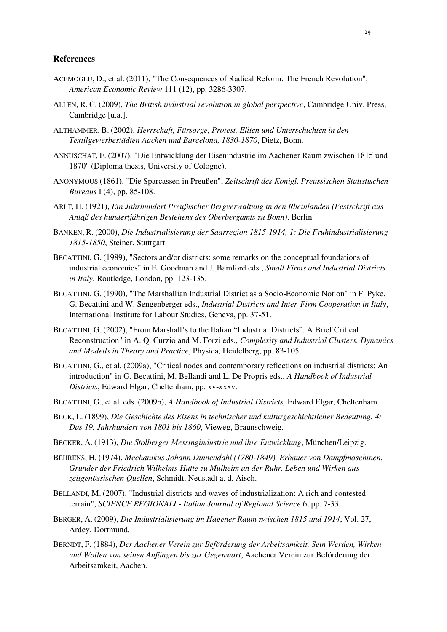#### **References**

- ACEMOGLU, D., et al. (2011), "The Consequences of Radical Reform: The French Revolution", *American Economic Review* 111 (12), pp. 3286-3307.
- ALLEN, R. C. (2009), *The British industrial revolution in global perspective*, Cambridge Univ. Press, Cambridge [u.a.].
- ALTHAMMER, B. (2002), *Herrschaft, Fürsorge, Protest. Eliten und Unterschichten in den Textilgewerbestädten Aachen und Barcelona, 1830-1870*, Dietz, Bonn.
- ANNUSCHAT, F. (2007), "Die Entwicklung der Eisenindustrie im Aachener Raum zwischen 1815 und 1870" (Diploma thesis, University of Cologne).
- ANONYMOUS (1861), "Die Sparcassen in Preußen", *Zeitschrift des Königl. Preussischen Statistischen Bureaus* I (4), pp. 85-108.
- ARLT, H. (1921), *Ein Jahrhundert Preußischer Bergverwaltung in den Rheinlanden (Festschrift aus Anlaß des hundertjährigen Bestehens des Oberbergamts zu Bonn)*, Berlin.
- BANKEN, R. (2000), *Die Industrialisierung der Saarregion 1815-1914, 1: Die Frühindustrialisierung 1815-1850*, Steiner, Stuttgart.
- BECATTINI, G. (1989), "Sectors and/or districts: some remarks on the conceptual foundations of industrial economics" in E. Goodman and J. Bamford eds., *Small Firms and Industrial Districts in Italy*, Routledge, London, pp. 123-135.
- BECATTINI, G. (1990), "The Marshallian Industrial District as a Socio-Economic Notion" in F. Pyke, G. Becattini and W. Sengenberger eds., *Industrial Districts and Inter-Firm Cooperation in Italy*, International Institute for Labour Studies, Geneva, pp. 37-51.
- BECATTINI, G. (2002), "From Marshall's to the Italian "Industrial Districts". A Brief Critical Reconstruction" in A. Q. Curzio and M. Forzi eds., *Complexity and Industrial Clusters. Dynamics and Modells in Theory and Practice*, Physica, Heidelberg, pp. 83-105.
- BECATTINI, G., et al. (2009a), "Critical nodes and contemporary reflections on industrial districts: An introduction" in G. Becattini, M. Bellandi and L. De Propris eds., *A Handbook of Industrial Districts*, Edward Elgar, Cheltenham, pp. xv-xxxv.
- BECATTINI, G., et al. eds. (2009b), *A Handbook of Industrial Districts,* Edward Elgar, Cheltenham.
- BECK, L. (1899), *Die Geschichte des Eisens in technischer und kulturgeschichtlicher Bedeutung. 4: Das 19. Jahrhundert von 1801 bis 1860*, Vieweg, Braunschweig.
- BECKER, A. (1913), *Die Stolberger Messingindustrie und ihre Entwicklung*, München/Leipzig.
- BEHRENS, H. (1974), *Mechanikus Johann Dinnendahl (1780-1849). Erbauer von Dampfmaschinen. Gründer der Friedrich Wilhelms-Hütte zu Mülheim an der Ruhr. Leben und Wirken aus zeitgenössischen Quellen*, Schmidt, Neustadt a. d. Aisch.
- BELLANDI, M. (2007), "Industrial districts and waves of industrialization: A rich and contested terrain", *SCIENCE REGIONALI - Italian Journal of Regional Science* 6, pp. 7-33.
- BERGER, A. (2009), *Die Industrialisierung im Hagener Raum zwischen 1815 und 1914*, Vol. 27, Ardey, Dortmund.
- BERNDT, F. (1884), *Der Aachener Verein zur Beförderung der Arbeitsamkeit. Sein Werden, Wirken und Wollen von seinen Anfängen bis zur Gegenwart*, Aachener Verein zur Beförderung der Arbeitsamkeit, Aachen.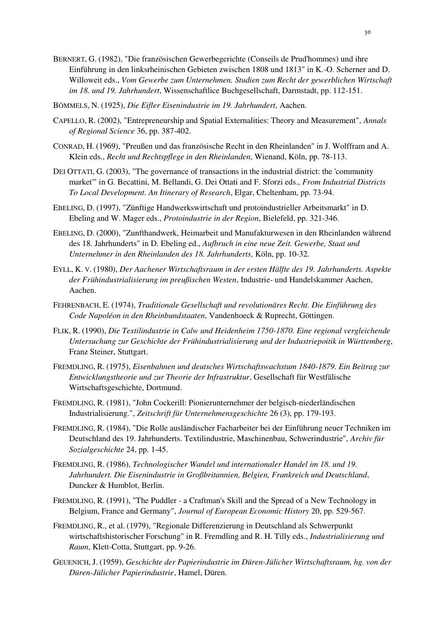- BERNERT, G. (1982), "Die französischen Gewerbegerichte (Conseils de Prud'hommes) und ihre Einführung in den linksrheinischen Gebieten zwischen 1808 und 1813" in K.-O. Scherner and D. Willoweit eds., *Vom Gewerbe zum Unternehmen. Studien zum Recht der gewerblichen Wirtschaft im 18. und 19. Jahrhundert*, Wissenschaftlice Buchgesellschaft, Darmstadt, pp. 112-151.
- BÖMMELS, N. (1925), *Die Eifler Eisenindustrie im 19. Jahrhundert*, Aachen.
- CAPELLO, R. (2002), "Entrepreneurship and Spatial Externalities: Theory and Measurement", *Annals of Regional Science* 36, pp. 387-402.
- CONRAD, H. (1969), "Preußen und das französische Recht in den Rheinlanden" in J. Wolffram and A. Klein eds., *Recht und Rechtspflege in den Rheinlanden*, Wienand, Köln, pp. 78-113.
- DEI OTTATI, G. (2003), "The governance of transactions in the industrial district: the 'community market'" in G. Becattini, M. Bellandi, G. Dei Ottati and F. Sforzi eds., *From Industrial Districts To Local Development. An Itinerary of Research*, Elgar, Cheltenham, pp. 73-94.
- EBELING, D. (1997), "Zünftige Handwerkswirtschaft und protoindustrieller Arbeitsmarkt" in D. Ebeling and W. Mager eds., *Protoindustrie in der Region*, Bielefeld, pp. 321-346.
- EBELING, D. (2000), "Zunfthandwerk, Heimarbeit und Manufakturwesen in den Rheinlanden während des 18. Jahrhunderts" in D. Ebeling ed., *Aufbruch in eine neue Zeit. Gewerbe, Staat und Unternehmer in den Rheinlanden des 18. Jahrhunderts*, Köln, pp. 10-32.
- EYLL, K. V. (1980), *Der Aachener Wirtschaftsraum in der ersten Hälfte des 19. Jahrhunderts. Aspekte der Frühindustrialisierung im preußischen Westen*, Industrie- und Handelskammer Aachen, Aachen.
- FEHRENBACH, E. (1974), *Traditionale Gesellschaft und revolutionäres Recht. Die Einführung des Code Napoléon in den Rheinbundstaaten*, Vandenhoeck & Ruprecht, Göttingen.
- FLIK, R. (1990), *Die Textilindustrie in Calw und Heidenheim 1750-1870. Eine regional vergleichende Untersuchung zur Geschichte der Frühindustrialisierung und der Industriepoitik in Württemberg*, Franz Steiner, Stuttgart.
- FREMDLING, R. (1975), *Eisenbahnen und deutsches Wirtschaftswachstum 1840-1879. Ein Beitrag zur Entwicklungstheorie und zur Theorie der Infrastruktur*, Gesellschaft für Westfälische Wirtschaftsgeschichte, Dortmund.
- FREMDLING, R. (1981), "John Cockerill: Pionierunternehmer der belgisch-niederländischen Industrialisierung.", *Zeitschrift für Unternehmensgeschichte* 26 (3), pp. 179-193.
- FREMDLING, R. (1984), "Die Rolle ausländischer Facharbeiter bei der Einführung neuer Techniken im Deutschland des 19. Jahrhunderts. Textilindustrie, Maschinenbau, Schwerindustrie", *Archiv für Sozialgeschichte* 24, pp. 1-45.
- FREMDLING, R. (1986), *Technologischer Wandel und internationaler Handel im 18. und 19. Jahrhundert. Die Eisenindustrie in Großbritannien, Belgien, Frankreich und Deutschland*, Duncker & Humblot, Berlin.
- FREMDLING, R. (1991), "The Puddler a Craftman's Skill and the Spread of a New Technology in Belgium, France and Germany", *Journal of European Economic History* 20, pp. 529-567.
- FREMDLING, R., et al. (1979), "Regionale Differenzierung in Deutschland als Schwerpunkt wirtschaftshistorischer Forschung" in R. Fremdling and R. H. Tilly eds., *Industrialisierung und Raum*, Klett-Cotta, Stuttgart, pp. 9-26.
- GEUENICH, J. (1959), *Geschichte der Papierindustrie im Düren-Jülicher Wirtschaftsraum, hg. von der Düren-Jülicher Papierindustrie*, Hamel, Düren.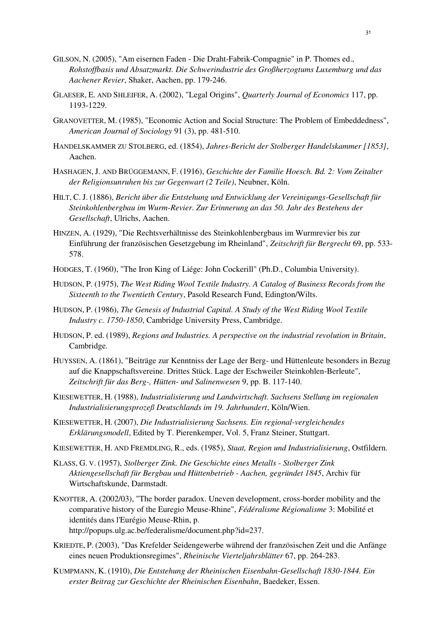- GILSON, N. (2005), "Am eisernen Faden Die Draht-Fabrik-Compagnie" in P. Thomes ed., *Rohstoffbasis und Absatzmarkt. Die Schwerindustrie des Großherzogtums Luxemburg und das Aachener Revier*, Shaker, Aachen, pp. 179-246.
- GLAESER, E. AND SHLEIFER, A. (2002), "Legal Origins", *Quarterly Journal of Economics* 117, pp. 1193-1229.
- GRANOVETTER, M. (1985), "Economic Action and Social Structure: The Problem of Embeddedness", *American Journal of Sociology* 91 (3), pp. 481-510.
- HANDELSKAMMER ZU STOLBERG, ed. (1854), *Jahres-Bericht der Stolberger Handelskammer [1853]*, Aachen.
- HASHAGEN, J. AND BRÜGGEMANN, F. (1916), *Geschichte der Familie Hoesch. Bd. 2: Vom Zeitalter der Religionsunruhen bis zur Gegenwart (2 Teile)*, Neubner, Köln.
- HILT, C. J. (1886), *Bericht über die Entstehung und Entwicklung der Vereinigungs-Gesellschaft für Steinkohlenbergbau im Wurm-Revier. Zur Erinnerung an das 50. Jahr des Bestehens der Gesellschaft*, Ulrichs, Aachen.
- HINZEN, A. (1929), "Die Rechtsverhältnisse des Steinkohlenbergbaus im Wurmrevier bis zur Einführung der französischen Gesetzgebung im Rheinland", *Zeitschrift für Bergrecht* 69, pp. 533- 578.
- HODGES, T. (1960), "The Iron King of Liége: John Cockerill" (Ph.D., Columbia University).
- HUDSON, P. (1975), *The West Riding Wool Textile Industry. A Catalog of Business Records from the Sixteenth to the Twentieth Century*, Pasold Research Fund, Edington/Wilts.
- HUDSON, P. (1986), *The Genesis of Industrial Capital. A Study of the West Riding Wool Textile Industry c. 1750-1850*, Cambridge University Press, Cambridge.
- HUDSON, P. ed. (1989), *Regions and Industries. A perspective on the industrial revolution in Britain*, Cambridge.
- HUYSSEN, A. (1861), "Beiträge zur Kenntniss der Lage der Berg- und Hüttenleute besonders in Bezug auf die Knappschaftsvereine. Drittes Stück. Lage der Eschweiler Steinkohlen-Berleute", *Zeitschrift für das Berg-, Hütten- und Salinenwesen* 9, pp. B. 117-140.
- KIESEWETTER, H. (1988), *Industrialisierung und Landwirtschaft. Sachsens Stellung im regionalen Industrialisierungsprozeß Deutschlands im 19. Jahrhundert*, Köln/Wien.
- KIESEWETTER, H. (2007), *Die Industrialisierung Sachsens. Ein regional-vergleichendes Erklärungsmodell*, Edited by T. Pierenkemper, Vol. 5, Franz Steiner, Stuttgart.
- KIESEWETTER, H. AND FREMDLING, R., eds. (1985), *Staat, Region und Industrialisierung*, Ostfildern.
- KLASS, G. V. (1957), *Stolberger Zink. Die Geschichte eines Metalls Stolberger Zink Aktiengesellschaft für Bergbau und Hüttenbetrieb - Aachen, gegründet 1845*, Archiv für Wirtschaftskunde, Darmstadt.
- KNOTTER, A. (2002/03), "The border paradox. Uneven development, cross-border mobility and the comparative history of the Euregio Meuse-Rhine", *Fédéralisme Régionalisme* 3: Mobilité et identités dans l'Eurégio Meuse-Rhin, p. http://popups.ulg.ac.be/federalisme/document.php?id=237.
- KRIEDTE, P. (2003), "Das Krefelder Seidengewerbe während der französischen Zeit und die Anfänge eines neuen Produktionsregimes", *Rheinische Vierteljahrsblätter* 67, pp. 264-283.
- KUMPMANN, K. (1910), *Die Entstehung der Rheinischen Eisenbahn-Gesellschaft 1830-1844. Ein erster Beitrag zur Geschichte der Rheinischen Eisenbahn*, Baedeker, Essen.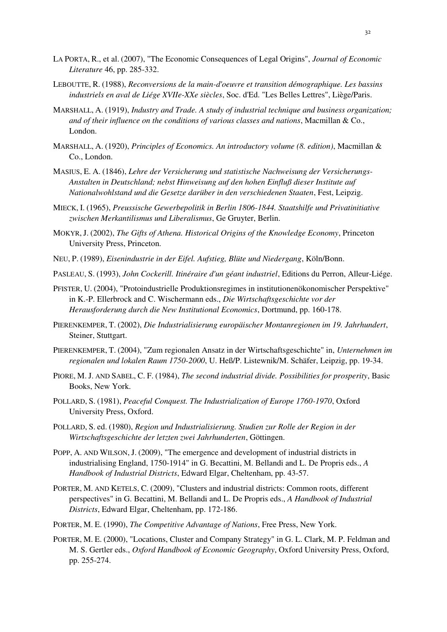- LA PORTA, R., et al. (2007), "The Economic Consequences of Legal Origins", *Journal of Economic Literature* 46, pp. 285-332.
- LEBOUTTE, R. (1988), *Reconversions de la main-d'oeuvre et transition démographique. Les bassins industriels en aval de Liége XVIIe-XXe siècles*, Soc. d'Ed. "Les Belles Lettres", Liège/Paris.
- MARSHALL, A. (1919), *Industry and Trade. A study of industrial technique and business organization; and of their influence on the conditions of various classes and nations*, Macmillan & Co., London.
- MARSHALL, A. (1920), *Principles of Economics. An introductory volume (8. edition)*, Macmillan & Co., London.
- MASIUS, E. A. (1846), *Lehre der Versicherung und statistische Nachweisung der Versicherungs-Anstalten in Deutschland; nebst Hinweisung auf den hohen Einfluß dieser Institute auf Nationalwohlstand und die Gesetze darüber in den verschiedenen Staaten*, Fest, Leipzig.
- MIECK, I. (1965), *Preussische Gewerbepolitik in Berlin 1806-1844. Staatshilfe und Privatinitiative zwischen Merkantilismus und Liberalismus*, Ge Gruyter, Berlin.
- MOKYR, J. (2002), *The Gifts of Athena. Historical Origins of the Knowledge Economy*, Princeton University Press, Princeton.
- NEU, P. (1989), *Eisenindustrie in der Eifel. Aufstieg, Blüte und Niedergang*, Köln/Bonn.
- PASLEAU, S. (1993), *John Cockerill. Itinéraire d'un géant industriel*, Editions du Perron, Alleur-Liége.
- PFISTER, U. (2004), "Protoindustrielle Produktionsregimes in institutionenökonomischer Perspektive" in K.-P. Ellerbrock and C. Wischermann eds., *Die Wirtschaftsgeschichte vor der Herausforderung durch die New Institutional Economics*, Dortmund, pp. 160-178.
- PIERENKEMPER, T. (2002), *Die Industrialisierung europäischer Montanregionen im 19. Jahrhundert*, Steiner, Stuttgart.
- PIERENKEMPER, T. (2004), "Zum regionalen Ansatz in der Wirtschaftsgeschichte" in, *Unternehmen im regionalen und lokalen Raum 1750-2000*, U. Heß/P. Listewnik/M. Schäfer, Leipzig, pp. 19-34.
- PIORE, M. J. AND SABEL, C. F. (1984), *The second industrial divide. Possibilities for prosperity*, Basic Books, New York.
- POLLARD, S. (1981), *Peaceful Conquest. The Industrialization of Europe 1760-1970*, Oxford University Press, Oxford.
- POLLARD, S. ed. (1980), *Region und Industrialisierung. Studien zur Rolle der Region in der Wirtschaftsgeschichte der letzten zwei Jahrhunderten*, Göttingen.
- POPP, A. AND WILSON, J. (2009), "The emergence and development of industrial districts in industrialising England, 1750-1914" in G. Becattini, M. Bellandi and L. De Propris eds., *A Handbook of Industrial Districts*, Edward Elgar, Cheltenham, pp. 43-57.
- PORTER, M. AND KETELS, C. (2009), "Clusters and industrial districts: Common roots, different perspectives" in G. Becattini, M. Bellandi and L. De Propris eds., *A Handbook of Industrial Districts*, Edward Elgar, Cheltenham, pp. 172-186.
- PORTER, M. E. (1990), *The Competitive Advantage of Nations*, Free Press, New York.
- PORTER, M. E. (2000), "Locations, Cluster and Company Strategy" in G. L. Clark, M. P. Feldman and M. S. Gertler eds., *Oxford Handbook of Economic Geography*, Oxford University Press, Oxford, pp. 255-274.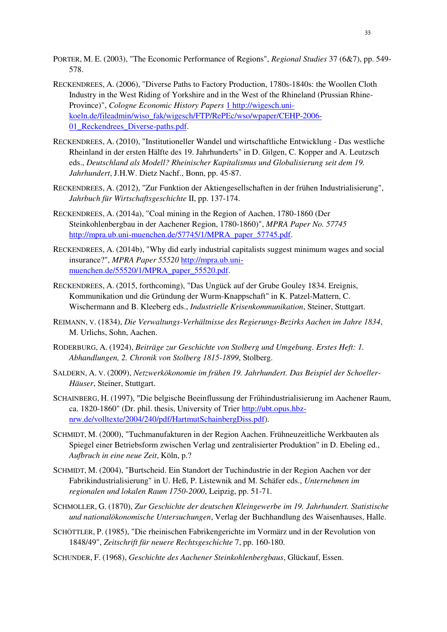- PORTER, M. E. (2003), "The Economic Performance of Regions", *Regional Studies* 37 (6&7), pp. 549- 578.
- RECKENDREES, A. (2006), "Diverse Paths to Factory Production, 1780s-1840s: the Woollen Cloth Industry in the West Riding of Yorkshire and in the West of the Rhineland (Prussian Rhine-Province)", *Cologne Economic History Papers* [1 http://wigesch.uni](file:///F:/Aufsätze%20u.%20Vorträge/Industrial%20Districts%20-%20Stellenbosch/RHI/1%20http:/wigesch.uni-koeln.de/fileadmin/wiso_fak/wigesch/FTP/RePEc/wso/wpaper/CEHP-2006-01_Reckendrees_Diverse-paths.pdf)[koeln.de/fileadmin/wiso\\_fak/wigesch/FTP/RePEc/wso/wpaper/CEHP-2006-](file:///F:/Aufsätze%20u.%20Vorträge/Industrial%20Districts%20-%20Stellenbosch/RHI/1%20http:/wigesch.uni-koeln.de/fileadmin/wiso_fak/wigesch/FTP/RePEc/wso/wpaper/CEHP-2006-01_Reckendrees_Diverse-paths.pdf) [01\\_Reckendrees\\_Diverse-paths.pdf.](file:///F:/Aufsätze%20u.%20Vorträge/Industrial%20Districts%20-%20Stellenbosch/RHI/1%20http:/wigesch.uni-koeln.de/fileadmin/wiso_fak/wigesch/FTP/RePEc/wso/wpaper/CEHP-2006-01_Reckendrees_Diverse-paths.pdf)
- RECKENDREES, A. (2010), "Institutioneller Wandel und wirtschaftliche Entwicklung Das westliche Rheinland in der ersten Hälfte des 19. Jahrhunderts" in D. Gilgen, C. Kopper and A. Leutzsch eds., *Deutschland als Modell? Rheinischer Kapitalismus und Globalisierung seit dem 19. Jahrhundert*, J.H.W. Dietz Nachf., Bonn, pp. 45-87.
- RECKENDREES, A. (2012), "Zur Funktion der Aktiengesellschaften in der frühen Industrialisierung", *Jahrbuch für Wirtschaftsgeschichte* II, pp. 137-174.
- RECKENDREES, A. (2014a), "Coal mining in the Region of Aachen, 1780-1860 (Der Steinkohlenbergbau in der Aachener Region, 1780-1860)", *MPRA Paper No. 57745* [http://mpra.ub.uni-muenchen.de/57745/1/MPRA\\_paper\\_57745.pdf.](http://mpra.ub.uni-muenchen.de/57745/1/MPRA_paper_57745.pdf)
- RECKENDREES, A. (2014b), "Why did early industrial capitalists suggest minimum wages and social insurance?", *MPRA Paper 55520* [http://mpra.ub.uni](http://mpra.ub.uni-muenchen.de/55520/1/MPRA_paper_55520.pdf)[muenchen.de/55520/1/MPRA\\_paper\\_55520.pdf.](http://mpra.ub.uni-muenchen.de/55520/1/MPRA_paper_55520.pdf)
- RECKENDREES, A. (2015, forthcoming), "Das Ungück auf der Grube Gouley 1834. Ereignis, Kommunikation und die Gründung der Wurm-Knappschaft" in K. Patzel-Mattern, C. Wischermann and B. Kleeberg eds., *Industrielle Krisenkommunikation*, Steiner, Stuttgart.
- REIMANN, V. (1834), *Die Verwaltungs-Verhältnisse des Regierungs-Bezirks Aachen im Jahre 1834*, M. Urlichs, Sohn, Aachen.
- RODERBURG, A. (1924), *Beiträge zur Geschichte von Stolberg und Umgebung. Erstes Heft: 1. Abhandlungen, 2. Chronik von Stolberg 1815-1899*, Stolberg.
- SALDERN, A. V. (2009), *Netzwerkökonomie im frühen 19. Jahrhundert. Das Beispiel der Schoeller-Häuser*, Steiner, Stuttgart.
- SCHAINBERG, H. (1997), "Die belgische Beeinflussung der Frühindustrialisierung im Aachener Raum, ca. 1820-1860" (Dr. phil. thesis, University of Trier [http://ubt.opus.hbz](http://ubt.opus.hbz-nrw.de/volltexte/2004/240/pdf/HartmutSchainbergDiss.pdf)[nrw.de/volltexte/2004/240/pdf/HartmutSchainbergDiss.pdf\)](http://ubt.opus.hbz-nrw.de/volltexte/2004/240/pdf/HartmutSchainbergDiss.pdf).
- SCHMIDT, M. (2000), "Tuchmanufakturen in der Region Aachen. Frühneuzeitliche Werkbauten als Spiegel einer Betriebsform zwischen Verlag und zentralisierter Produktion" in D. Ebeling ed., *Aufbruch in eine neue Zeit*, Köln, p.?
- SCHMIDT, M. (2004), "Burtscheid. Ein Standort der Tuchindustrie in der Region Aachen vor der Fabrikindustrialisierung" in U. Heß, P. Listewnik and M. Schäfer eds., *Unternehmen im regionalen und lokalen Raum 1750-2000*, Leipzig, pp. 51-71.
- SCHMOLLER, G. (1870), *Zur Geschichte der deutschen Kleingewerbe im 19. Jahrhundert. Statistische und nationalökonomische Untersuchungen*, Verlag der Buchhandlung des Waisenhauses, Halle.
- SCHÖTTLER, P. (1985), "Die rheinischen Fabrikengerichte im Vormärz und in der Revolution von 1848/49", *Zeitschrift für neuere Rechtsgeschichte* 7, pp. 160-180.
- SCHUNDER, F. (1968), *Geschichte des Aachener Steinkohlenbergbaus*, Glückauf, Essen.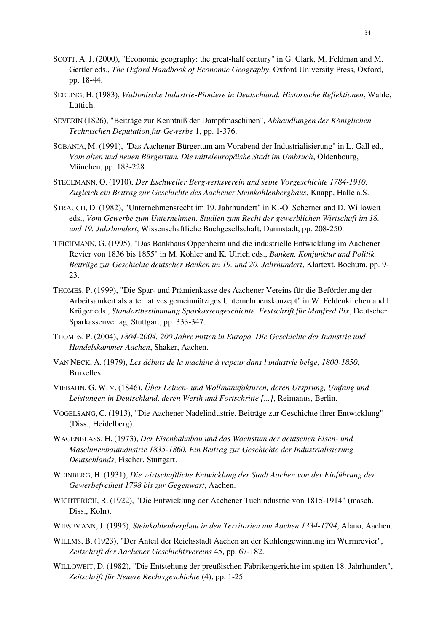- SCOTT, A. J. (2000), "Economic geography: the great-half century" in G. Clark, M. Feldman and M. Gertler eds., *The Oxford Handbook of Economic Geography*, Oxford University Press, Oxford, pp. 18-44.
- SEELING, H. (1983), *Wallonische Industrie-Pioniere in Deutschland. Historische Reflektionen*, Wahle, Lüttich.
- SEVERIN (1826), "Beiträge zur Kenntniß der Dampfmaschinen", *Abhandlungen der Königlichen Technischen Deputation für Gewerbe* 1, pp. 1-376.
- SOBANIA, M. (1991), "Das Aachener Bürgertum am Vorabend der Industrialisierung" in L. Gall ed., *Vom alten und neuen Bürgertum. Die mitteleuropäishe Stadt im Umbruch*, Oldenbourg, München, pp. 183-228.
- STEGEMANN, O. (1910), *Der Eschweiler Bergwerksverein und seine Vorgeschichte 1784-1910. Zugleich ein Beitrag zur Geschichte des Aachener Steinkohlenbergbaus*, Knapp, Halle a.S.
- STRAUCH, D. (1982), "Unternehmensrecht im 19. Jahrhundert" in K.-O. Scherner and D. Willoweit eds., *Vom Gewerbe zum Unternehmen. Studien zum Recht der gewerblichen Wirtschaft im 18. und 19. Jahrhundert*, Wissenschaftliche Buchgesellschaft, Darmstadt, pp. 208-250.
- TEICHMANN, G. (1995), "Das Bankhaus Oppenheim und die industrielle Entwicklung im Aachener Revier von 1836 bis 1855" in M. Köhler and K. Ulrich eds., *Banken, Konjunktur und Politik. Beiträge zur Geschichte deutscher Banken im 19. und 20. Jahrhundert*, Klartext, Bochum, pp. 9- 23.
- THOMES, P. (1999), "Die Spar- und Prämienkasse des Aachener Vereins für die Beförderung der Arbeitsamkeit als alternatives gemeinnütziges Unternehmenskonzept" in W. Feldenkirchen and I. Krüger eds., *Standortbestimmung Sparkassengeschichte. Festschrift für Manfred Pix*, Deutscher Sparkassenverlag, Stuttgart, pp. 333-347.
- THOMES, P. (2004), *1804-2004. 200 Jahre mitten in Europa. Die Geschichte der Industrie und Handelskammer Aachen*, Shaker, Aachen.
- VAN NECK, A. (1979), *Les débuts de la machine à vapeur dans l'industrie belge, 1800-1850*, Bruxelles.
- VIEBAHN, G. W. V. (1846), *Über Leinen- und Wollmanufakturen, deren Ursprung, Umfang und Leistungen in Deutschland, deren Werth und Fortschritte [...]*, Reimanus, Berlin.
- VOGELSANG, C. (1913), "Die Aachener Nadelindustrie. Beiträge zur Geschichte ihrer Entwicklung" (Diss., Heidelberg).
- WAGENBLASS, H. (1973), *Der Eisenbahnbau und das Wachstum der deutschen Eisen- und Maschinenbauindustrie 1835-1860. Ein Beitrag zur Geschichte der Industrialisierung Deutschlands*, Fischer, Stuttgart.
- WEINBERG, H. (1931), *Die wirtschaftliche Entwicklung der Stadt Aachen von der Einführung der Gewerbefreiheit 1798 bis zur Gegenwart*, Aachen.
- WICHTERICH, R. (1922), "Die Entwicklung der Aachener Tuchindustrie von 1815-1914" (masch. Diss., Köln).
- WIESEMANN, J. (1995), *Steinkohlenbergbau in den Territorien um Aachen 1334-1794*, Alano, Aachen.
- WILLMS, B. (1923), "Der Anteil der Reichsstadt Aachen an der Kohlengewinnung im Wurmrevier", *Zeitschrift des Aachener Geschichtsvereins* 45, pp. 67-182.
- WILLOWEIT, D. (1982), "Die Entstehung der preußischen Fabrikengerichte im späten 18. Jahrhundert", *Zeitschrift für Neuere Rechtsgeschichte* (4), pp. 1-25.